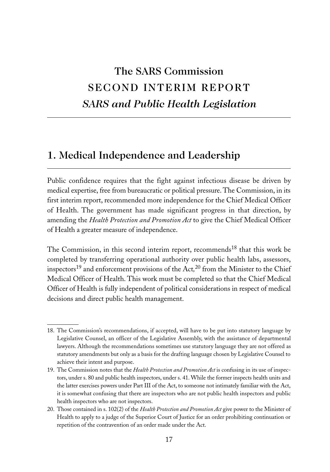# The SARS Commission SECOND INTERIM REPORT *SARS and Public Health Legislation*

# 1. Medical Independence and Leadership

Public confidence requires that the fight against infectious disease be driven by medical expertise, free from bureaucratic or political pressure. The Commission, in its first interim report, recommended more independence for the Chief Medical Officer of Health. The government has made significant progress in that direction, by amending the *Health Protection and Promotion Act* to give the Chief Medical Officer of Health a greater measure of independence.

The Commission, in this second interim report, recommends<sup>18</sup> that this work be completed by transferring operational authority over public health labs, assessors, inspectors19 and enforcement provisions of the Act*,* <sup>20</sup> from the Minister to the Chief Medical Officer of Health. This work must be completed so that the Chief Medical Officer of Health is fully independent of political considerations in respect of medical decisions and direct public health management.

<sup>18.</sup> The Commission's recommendations, if accepted, will have to be put into statutory language by Legislative Counsel, an officer of the Legislative Assembly, with the assistance of departmental lawyers. Although the recommendations sometimes use statutory language they are not offered as statutory amendments but only as a basis for the drafting language chosen by Legislative Counsel to achieve their intent and purpose.

<sup>19.</sup> The Commission notes that the *Health Protection and Promotion Act* is confusing in its use of inspectors, under s. 80 and public health inspectors, under s. 41. While the former inspects health units and the latter exercises powers under Part III of the Act, to someone not intimately familiar with the Act, it is somewhat confusing that there are inspectors who are not public health inspectors and public health inspectors who are not inspectors.

<sup>20.</sup> Those contained in s. 102(2) of the *Health Protection and Promotion Act* give power to the Minister of Health to apply to a judge of the Superior Court of Justice for an order prohibiting continuation or repetition of the contravention of an order made under the Act.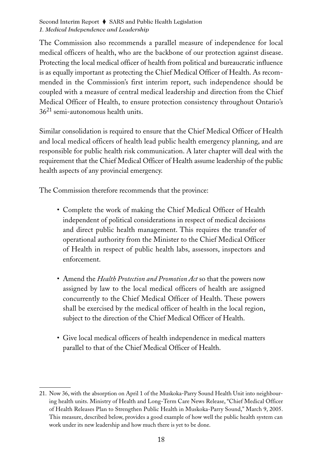The Commission also recommends a parallel measure of independence for local medical officers of health, who are the backbone of our protection against disease. Protecting the local medical officer of health from political and bureaucratic influence is as equally important as protecting the Chief Medical Officer of Health. As recommended in the Commission's first interim report, such independence should be coupled with a measure of central medical leadership and direction from the Chief Medical Officer of Health, to ensure protection consistency throughout Ontario's  $36<sup>21</sup>$  semi-autonomous health units.

Similar consolidation is required to ensure that the Chief Medical Officer of Health and local medical officers of health lead public health emergency planning, and are responsible for public health risk communication. A later chapter will deal with the requirement that the Chief Medical Officer of Health assume leadership of the public health aspects of any provincial emergency.

The Commission therefore recommends that the province:

- Complete the work of making the Chief Medical Officer of Health independent of political considerations in respect of medical decisions and direct public health management. This requires the transfer of operational authority from the Minister to the Chief Medical Officer of Health in respect of public health labs, assessors, inspectors and enforcement.
- Amend the *Health Protection and Promotion Act* so that the powers now assigned by law to the local medical officers of health are assigned concurrently to the Chief Medical Officer of Health. These powers shall be exercised by the medical officer of health in the local region, subject to the direction of the Chief Medical Officer of Health.
- Give local medical officers of health independence in medical matters parallel to that of the Chief Medical Officer of Health.

<sup>21.</sup> Now 36, with the absorption on April 1 of the Muskoka-Parry Sound Health Unit into neighbouring health units. Ministry of Health and Long-Term Care News Release, "Chief Medical Officer of Health Releases Plan to Strengthen Public Health in Muskoka-Parry Sound," March 9, 2005. This measure, described below, provides a good example of how well the public health system can work under its new leadership and how much there is yet to be done.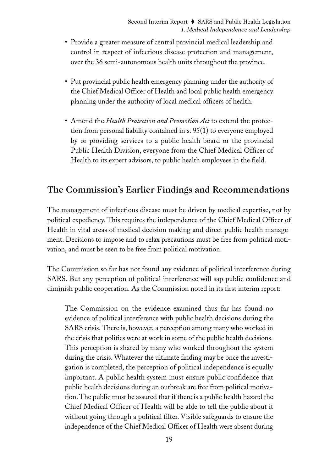- Provide a greater measure of central provincial medical leadership and control in respect of infectious disease protection and management, over the 36 semi-autonomous health units throughout the province.
- Put provincial public health emergency planning under the authority of the Chief Medical Officer of Health and local public health emergency planning under the authority of local medical officers of health.
- Amend the *Health Protection and Promotion Act* to extend the protection from personal liability contained in s. 95(1) to everyone employed by or providing services to a public health board or the provincial Public Health Division, everyone from the Chief Medical Officer of Health to its expert advisors, to public health employees in the field.

## The Commission's Earlier Findings and Recommendations

The management of infectious disease must be driven by medical expertise, not by political expediency. This requires the independence of the Chief Medical Officer of Health in vital areas of medical decision making and direct public health management. Decisions to impose and to relax precautions must be free from political motivation, and must be seen to be free from political motivation.

The Commission so far has not found any evidence of political interference during SARS. But any perception of political interference will sap public confidence and diminish public cooperation. As the Commission noted in its first interim report:

The Commission on the evidence examined thus far has found no evidence of political interference with public health decisions during the SARS crisis. There is, however, a perception among many who worked in the crisis that politics were at work in some of the public health decisions. This perception is shared by many who worked throughout the system during the crisis. Whatever the ultimate finding may be once the investigation is completed, the perception of political independence is equally important. A public health system must ensure public confidence that public health decisions during an outbreak are free from political motivation. The public must be assured that if there is a public health hazard the Chief Medical Officer of Health will be able to tell the public about it without going through a political filter. Visible safeguards to ensure the independence of the Chief Medical Officer of Health were absent during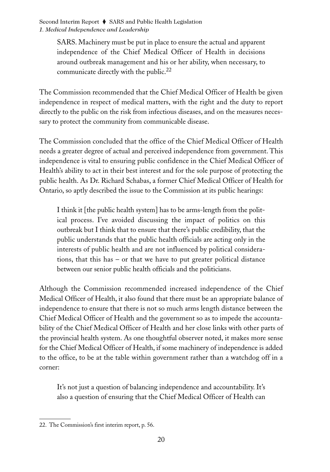> SARS. Machinery must be put in place to ensure the actual and apparent independence of the Chief Medical Officer of Health in decisions around outbreak management and his or her ability, when necessary, to communicate directly with the public.<sup>22</sup>

The Commission recommended that the Chief Medical Officer of Health be given independence in respect of medical matters, with the right and the duty to report directly to the public on the risk from infectious diseases, and on the measures necessary to protect the community from communicable disease.

The Commission concluded that the office of the Chief Medical Officer of Health needs a greater degree of actual and perceived independence from government. This independence is vital to ensuring public confidence in the Chief Medical Officer of Health's ability to act in their best interest and for the sole purpose of protecting the public health. As Dr. Richard Schabas, a former Chief Medical Officer of Health for Ontario, so aptly described the issue to the Commission at its public hearings:

I think it [the public health system] has to be arms-length from the political process. I've avoided discussing the impact of politics on this outbreak but I think that to ensure that there's public credibility, that the public understands that the public health officials are acting only in the interests of public health and are not influenced by political considerations, that this has – or that we have to put greater political distance between our senior public health officials and the politicians.

Although the Commission recommended increased independence of the Chief Medical Officer of Health, it also found that there must be an appropriate balance of independence to ensure that there is not so much arms length distance between the Chief Medical Officer of Health and the government so as to impede the accountability of the Chief Medical Officer of Health and her close links with other parts of the provincial health system. As one thoughtful observer noted, it makes more sense for the Chief Medical Officer of Health, if some machinery of independence is added to the office, to be at the table within government rather than a watchdog off in a corner:

It's not just a question of balancing independence and accountability. It's also a question of ensuring that the Chief Medical Officer of Health can

<sup>22.</sup> The Commission's first interim report, p. 56.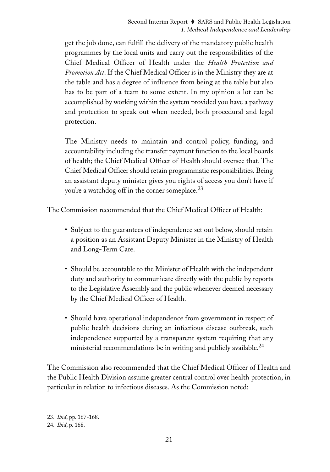get the job done, can fulfill the delivery of the mandatory public health programmes by the local units and carry out the responsibilities of the Chief Medical Officer of Health under the *Health Protection and Promotion Act*. If the Chief Medical Officer is in the Ministry they are at the table and has a degree of influence from being at the table but also has to be part of a team to some extent. In my opinion a lot can be accomplished by working within the system provided you have a pathway and protection to speak out when needed, both procedural and legal protection.

The Ministry needs to maintain and control policy, funding, and accountability including the transfer payment function to the local boards of health; the Chief Medical Officer of Health should oversee that. The Chief Medical Officer should retain programmatic responsibilities. Being an assistant deputy minister gives you rights of access you don't have if you're a watchdog off in the corner someplace. $^{23}$ 

The Commission recommended that the Chief Medical Officer of Health:

- Subject to the guarantees of independence set out below, should retain a position as an Assistant Deputy Minister in the Ministry of Health and Long-Term Care.
- Should be accountable to the Minister of Health with the independent duty and authority to communicate directly with the public by reports to the Legislative Assembly and the public whenever deemed necessary by the Chief Medical Officer of Health.
- Should have operational independence from government in respect of public health decisions during an infectious disease outbreak, such independence supported by a transparent system requiring that any ministerial recommendations be in writing and publicly available.<sup>24</sup>

The Commission also recommended that the Chief Medical Officer of Health and the Public Health Division assume greater central control over health protection, in particular in relation to infectious diseases. As the Commission noted:

<sup>23.</sup> *Ibid*, pp. 167-168.

<sup>24.</sup> *Ibid*, p. 168.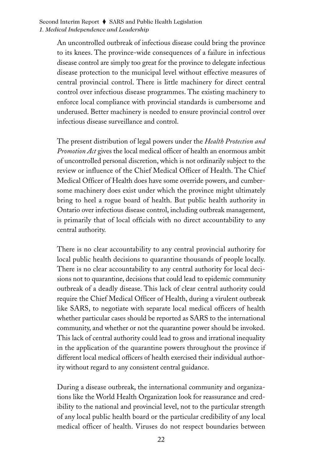An uncontrolled outbreak of infectious disease could bring the province to its knees. The province-wide consequences of a failure in infectious disease control are simply too great for the province to delegate infectious disease protection to the municipal level without effective measures of central provincial control. There is little machinery for direct central control over infectious disease programmes. The existing machinery to enforce local compliance with provincial standards is cumbersome and underused. Better machinery is needed to ensure provincial control over infectious disease surveillance and control.

The present distribution of legal powers under the *Health Protection and Promotion Act* gives the local medical officer of health an enormous ambit of uncontrolled personal discretion, which is not ordinarily subject to the review or influence of the Chief Medical Officer of Health. The Chief Medical Officer of Health does have some override powers, and cumbersome machinery does exist under which the province might ultimately bring to heel a rogue board of health. But public health authority in Ontario over infectious disease control, including outbreak management, is primarily that of local officials with no direct accountability to any central authority.

There is no clear accountability to any central provincial authority for local public health decisions to quarantine thousands of people locally. There is no clear accountability to any central authority for local decisions not to quarantine, decisions that could lead to epidemic community outbreak of a deadly disease. This lack of clear central authority could require the Chief Medical Officer of Health, during a virulent outbreak like SARS, to negotiate with separate local medical officers of health whether particular cases should be reported as SARS to the international community, and whether or not the quarantine power should be invoked. This lack of central authority could lead to gross and irrational inequality in the application of the quarantine powers throughout the province if different local medical officers of health exercised their individual authority without regard to any consistent central guidance.

During a disease outbreak, the international community and organizations like the World Health Organization look for reassurance and credibility to the national and provincial level, not to the particular strength of any local public health board or the particular credibility of any local medical officer of health. Viruses do not respect boundaries between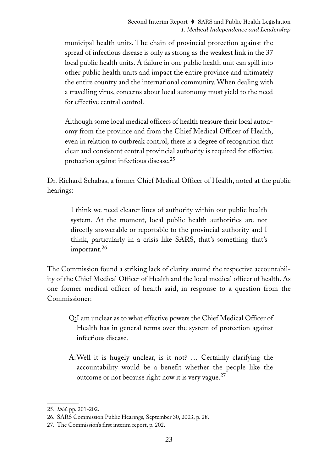municipal health units. The chain of provincial protection against the spread of infectious disease is only as strong as the weakest link in the 37 local public health units. A failure in one public health unit can spill into other public health units and impact the entire province and ultimately the entire country and the international community. When dealing with a travelling virus, concerns about local autonomy must yield to the need for effective central control.

Although some local medical officers of health treasure their local autonomy from the province and from the Chief Medical Officer of Health, even in relation to outbreak control, there is a degree of recognition that clear and consistent central provincial authority is required for effective protection against infectious disease.<sup>25</sup>

Dr. Richard Schabas, a former Chief Medical Officer of Health, noted at the public hearings:

I think we need clearer lines of authority within our public health system. At the moment, local public health authorities are not directly answerable or reportable to the provincial authority and I think, particularly in a crisis like SARS, that's something that's important.<sup>26</sup>

The Commission found a striking lack of clarity around the respective accountability of the Chief Medical Officer of Health and the local medical officer of health. As one former medical officer of health said, in response to a question from the Commissioner:

Q:I am unclear as to what effective powers the Chief Medical Officer of Health has in general terms over the system of protection against infectious disease.

A:Well it is hugely unclear, is it not? … Certainly clarifying the accountability would be a benefit whether the people like the outcome or not because right now it is very vague.<sup>27</sup>

<sup>25.</sup> *Ibid*, pp. 201-202.

<sup>26.</sup> SARS Commission Public Hearings*,* September 30, 2003, p. 28.

<sup>27.</sup> The Commission's first interim report, p. 202.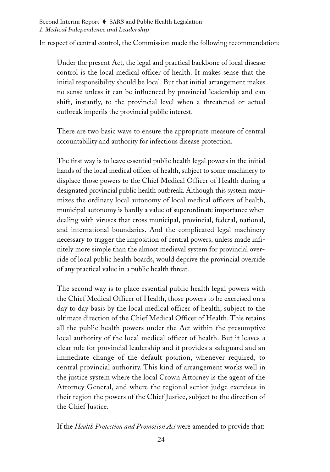In respect of central control, the Commission made the following recommendation:

Under the present Act*,* the legal and practical backbone of local disease control is the local medical officer of health. It makes sense that the initial responsibility should be local. But that initial arrangement makes no sense unless it can be influenced by provincial leadership and can shift, instantly, to the provincial level when a threatened or actual outbreak imperils the provincial public interest.

There are two basic ways to ensure the appropriate measure of central accountability and authority for infectious disease protection.

The first way is to leave essential public health legal powers in the initial hands of the local medical officer of health, subject to some machinery to displace those powers to the Chief Medical Officer of Health during a designated provincial public health outbreak. Although this system maximizes the ordinary local autonomy of local medical officers of health, municipal autonomy is hardly a value of superordinate importance when dealing with viruses that cross municipal, provincial, federal, national, and international boundaries. And the complicated legal machinery necessary to trigger the imposition of central powers, unless made infinitely more simple than the almost medieval system for provincial override of local public health boards, would deprive the provincial override of any practical value in a public health threat.

The second way is to place essential public health legal powers with the Chief Medical Officer of Health, those powers to be exercised on a day to day basis by the local medical officer of health, subject to the ultimate direction of the Chief Medical Officer of Health. This retains all the public health powers under the Act within the presumptive local authority of the local medical officer of health. But it leaves a clear role for provincial leadership and it provides a safeguard and an immediate change of the default position, whenever required, to central provincial authority. This kind of arrangement works well in the justice system where the local Crown Attorney is the agent of the Attorney General, and where the regional senior judge exercises in their region the powers of the Chief Justice, subject to the direction of the Chief Justice.

If the *Health Protection and Promotion Act* were amended to provide that: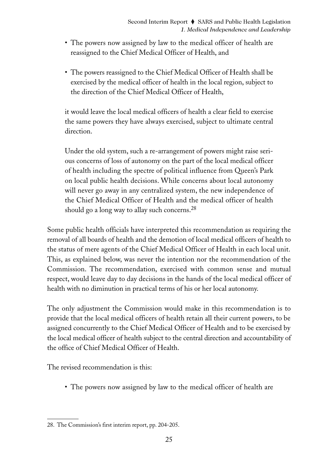- The powers now assigned by law to the medical officer of health are reassigned to the Chief Medical Officer of Health, and
- The powers reassigned to the Chief Medical Officer of Health shall be exercised by the medical officer of health in the local region, subject to the direction of the Chief Medical Officer of Health,

it would leave the local medical officers of health a clear field to exercise the same powers they have always exercised, subject to ultimate central direction.

Under the old system, such a re-arrangement of powers might raise serious concerns of loss of autonomy on the part of the local medical officer of health including the spectre of political influence from Queen's Park on local public health decisions. While concerns about local autonomy will never go away in any centralized system, the new independence of the Chief Medical Officer of Health and the medical officer of health should go a long way to allay such concerns.<sup>28</sup>

Some public health officials have interpreted this recommendation as requiring the removal of all boards of health and the demotion of local medical officers of health to the status of mere agents of the Chief Medical Officer of Health in each local unit. This, as explained below, was never the intention nor the recommendation of the Commission. The recommendation, exercised with common sense and mutual respect, would leave day to day decisions in the hands of the local medical officer of health with no diminution in practical terms of his or her local autonomy.

The only adjustment the Commission would make in this recommendation is to provide that the local medical officers of health retain all their current powers, to be assigned concurrently to the Chief Medical Officer of Health and to be exercised by the local medical officer of health subject to the central direction and accountability of the office of Chief Medical Officer of Health.

The revised recommendation is this:

• The powers now assigned by law to the medical officer of health are

<sup>28.</sup> The Commission's first interim report, pp. 204-205.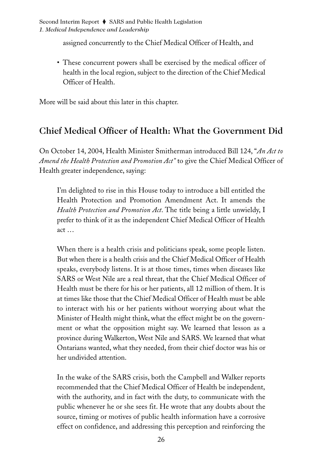assigned concurrently to the Chief Medical Officer of Health, and

• These concurrent powers shall be exercised by the medical officer of health in the local region, subject to the direction of the Chief Medical Officer of Health.

More will be said about this later in this chapter.

### Chief Medical Officer of Health: What the Government Did

On October 14, 2004, Health Minister Smitherman introduced Bill 124, "*An Act to Amend the Health Protection and Promotion Act"* to give the Chief Medical Officer of Health greater independence, saying:

I'm delighted to rise in this House today to introduce a bill entitled the Health Protection and Promotion Amendment Act. It amends the *Health Protection and Promotion Act*. The title being a little unwieldy, I prefer to think of it as the independent Chief Medical Officer of Health act …

When there is a health crisis and politicians speak, some people listen. But when there is a health crisis and the Chief Medical Officer of Health speaks, everybody listens. It is at those times, times when diseases like SARS or West Nile are a real threat, that the Chief Medical Officer of Health must be there for his or her patients, all 12 million of them. It is at times like those that the Chief Medical Officer of Health must be able to interact with his or her patients without worrying about what the Minister of Health might think, what the effect might be on the government or what the opposition might say. We learned that lesson as a province during Walkerton, West Nile and SARS. We learned that what Ontarians wanted, what they needed, from their chief doctor was his or her undivided attention.

In the wake of the SARS crisis, both the Campbell and Walker reports recommended that the Chief Medical Officer of Health be independent, with the authority, and in fact with the duty, to communicate with the public whenever he or she sees fit. He wrote that any doubts about the source, timing or motives of public health information have a corrosive effect on confidence, and addressing this perception and reinforcing the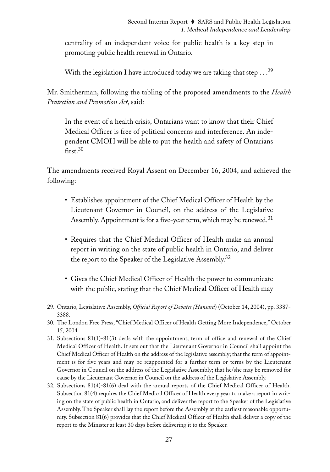centrality of an independent voice for public health is a key step in promoting public health renewal in Ontario.

With the legislation I have introduced today we are taking that step  $\ldots^{29}$ 

Mr. Smitherman, following the tabling of the proposed amendments to the *Health Protection and Promotion Act*, said:

In the event of a health crisis, Ontarians want to know that their Chief Medical Officer is free of political concerns and interference. An independent CMOH will be able to put the health and safety of Ontarians first.<sup>30</sup>

The amendments received Royal Assent on December 16, 2004, and achieved the following:

- Establishes appointment of the Chief Medical Officer of Health by the Lieutenant Governor in Council, on the address of the Legislative Assembly. Appointment is for a five-year term, which may be renewed.<sup>31</sup>
- Requires that the Chief Medical Officer of Health make an annual report in writing on the state of public health in Ontario, and deliver the report to the Speaker of the Legislative Assembly.<sup>32</sup>
- Gives the Chief Medical Officer of Health the power to communicate with the public, stating that the Chief Medical Officer of Health may
- 29. Ontario, Legislative Assembly, *Official Report of Debates (Hansard*) (October 14, 2004), pp. 3387- 3388.

- 31. Subsections 81(1)-81(3) deals with the appointment, term of office and renewal of the Chief Medical Officer of Health. It sets out that the Lieutenant Governor in Council shall appoint the Chief Medical Officer of Health on the address of the legislative assembly; that the term of appointment is for five years and may be reappointed for a further term or terms by the Lieutenant Governor in Council on the address of the Legislative Assembly; that he/she may be removed for cause by the Lieutenant Governor in Council on the address of the Legislative Assembly.
- 32. Subsections 81(4)-81(6) deal with the annual reports of the Chief Medical Officer of Health. Subsection 81(4) requires the Chief Medical Officer of Health every year to make a report in writing on the state of public health in Ontario, and deliver the report to the Speaker of the Legislative Assembly. The Speaker shall lay the report before the Assembly at the earliest reasonable opportunity. Subsection 81(6) provides that the Chief Medical Officer of Health shall deliver a copy of the report to the Minister at least 30 days before delivering it to the Speaker.

<sup>30.</sup> The London Free Press, "Chief Medical Officer of Health Getting More Independence," October 15, 2004.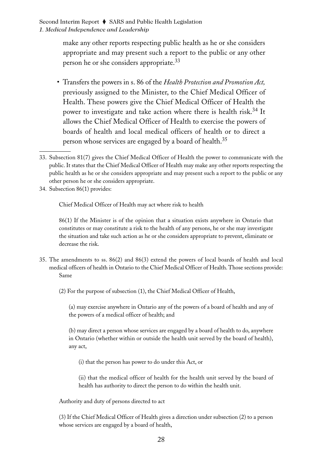make any other reports respecting public health as he or she considers appropriate and may present such a report to the public or any other person he or she considers appropriate.33

- Transfers the powers in s. 86 of the *Health Protection and Promotion Act,* previously assigned to the Minister, to the Chief Medical Officer of Health. These powers give the Chief Medical Officer of Health the power to investigate and take action where there is health risk.<sup>34</sup> It allows the Chief Medical Officer of Health to exercise the powers of boards of health and local medical officers of health or to direct a person whose services are engaged by a board of health.<sup>35</sup>
- 33. Subsection 81(7) gives the Chief Medical Officer of Health the power to communicate with the public. It states that the Chief Medical Officer of Health may make any other reports respecting the public health as he or she considers appropriate and may present such a report to the public or any other person he or she considers appropriate.
- 34. Subsection 86(1) provides:

Chief Medical Officer of Health may act where risk to health

86(1) If the Minister is of the opinion that a situation exists anywhere in Ontario that constitutes or may constitute a risk to the health of any persons, he or she may investigate the situation and take such action as he or she considers appropriate to prevent, eliminate or decrease the risk.

35. The amendments to ss. 86(2) and 86(3) extend the powers of local boards of health and local medical officers of health in Ontario to the Chief Medical Officer of Health. Those sections provide: Same

(2) For the purpose of subsection (1), the Chief Medical Officer of Health,

(a) may exercise anywhere in Ontario any of the powers of a board of health and any of the powers of a medical officer of health; and

(b) may direct a person whose services are engaged by a board of health to do, anywhere in Ontario (whether within or outside the health unit served by the board of health), any act,

(i) that the person has power to do under this Act, or

(ii) that the medical officer of health for the health unit served by the board of health has authority to direct the person to do within the health unit.

Authority and duty of persons directed to act

(3) If the Chief Medical Officer of Health gives a direction under subsection (2) to a person whose services are engaged by a board of health,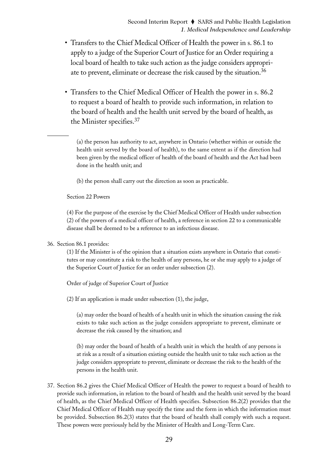- Transfers to the Chief Medical Officer of Health the power in s. 86.1 to apply to a judge of the Superior Court of Justice for an Order requiring a local board of health to take such action as the judge considers appropriate to prevent, eliminate or decrease the risk caused by the situation.36
- Transfers to the Chief Medical Officer of Health the power in s. 86.2 to request a board of health to provide such information, in relation to the board of health and the health unit served by the board of health, as the Minister specifies.37

(a) the person has authority to act, anywhere in Ontario (whether within or outside the health unit served by the board of health), to the same extent as if the direction had been given by the medical officer of health of the board of health and the Act had been done in the health unit; and

(b) the person shall carry out the direction as soon as practicable.

Section 22 Powers

(4) For the purpose of the exercise by the Chief Medical Officer of Health under subsection (2) of the powers of a medical officer of health, a reference in section 22 to a communicable disease shall be deemed to be a reference to an infectious disease.

36. Section 86.1 provides:

(1) If the Minister is of the opinion that a situation exists anywhere in Ontario that constitutes or may constitute a risk to the health of any persons, he or she may apply to a judge of the Superior Court of Justice for an order under subsection (2).

Order of judge of Superior Court of Justice

(2) If an application is made under subsection (1), the judge,

(a) may order the board of health of a health unit in which the situation causing the risk exists to take such action as the judge considers appropriate to prevent, eliminate or decrease the risk caused by the situation; and

(b) may order the board of health of a health unit in which the health of any persons is at risk as a result of a situation existing outside the health unit to take such action as the judge considers appropriate to prevent, eliminate or decrease the risk to the health of the persons in the health unit.

37. Section 86.2 gives the Chief Medical Officer of Health the power to request a board of health to provide such information, in relation to the board of health and the health unit served by the board of health, as the Chief Medical Officer of Health specifies. Subsection 86.2(2) provides that the Chief Medical Officer of Health may specify the time and the form in which the information must be provided. Subsection 86.2(3) states that the board of health shall comply with such a request. These powers were previously held by the Minister of Health and Long-Term Care.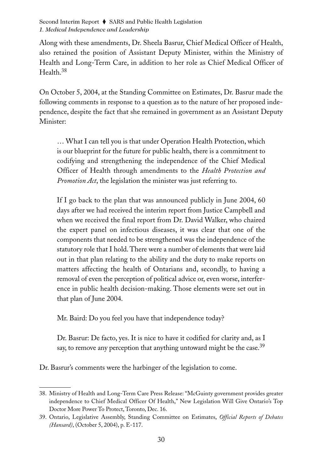Along with these amendments, Dr. Sheela Basrur, Chief Medical Officer of Health, also retained the position of Assistant Deputy Minister, within the Ministry of Health and Long-Term Care, in addition to her role as Chief Medical Officer of Health.<sup>38</sup>

On October 5, 2004, at the Standing Committee on Estimates, Dr. Basrur made the following comments in response to a question as to the nature of her proposed independence, despite the fact that she remained in government as an Assistant Deputy Minister:

… What I can tell you is that under Operation Health Protection, which is our blueprint for the future for public health, there is a commitment to codifying and strengthening the independence of the Chief Medical Officer of Health through amendments to the *Health Protection and Promotion Act*, the legislation the minister was just referring to.

If I go back to the plan that was announced publicly in June 2004, 60 days after we had received the interim report from Justice Campbell and when we received the final report from Dr. David Walker, who chaired the expert panel on infectious diseases, it was clear that one of the components that needed to be strengthened was the independence of the statutory role that I hold. There were a number of elements that were laid out in that plan relating to the ability and the duty to make reports on matters affecting the health of Ontarians and, secondly, to having a removal of even the perception of political advice or, even worse, interference in public health decision-making. Those elements were set out in that plan of June 2004.

Mr. Baird: Do you feel you have that independence today?

Dr. Basrur: De facto, yes. It is nice to have it codified for clarity and, as I say, to remove any perception that anything untoward might be the case.<sup>39</sup>

Dr. Basrur's comments were the harbinger of the legislation to come.

<sup>38.</sup> Ministry of Health and Long-Term Care Press Release: "McGuinty government provides greater independence to Chief Medical Officer Of Health," New Legislation Will Give Ontario's Top Doctor More Power To Protect, Toronto, Dec. 16.

<sup>39.</sup> Ontario, Legislative Assembly, Standing Committee on Estimates, *Official Reports of Debates (Hansard)*, (October 5, 2004), p. E-117.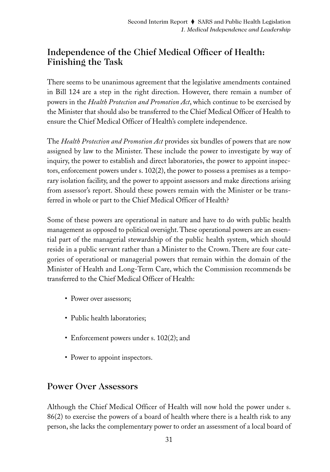# Independence of the Chief Medical Officer of Health: Finishing the Task

There seems to be unanimous agreement that the legislative amendments contained in Bill 124 are a step in the right direction. However, there remain a number of powers in the *Health Protection and Promotion Act*, which continue to be exercised by the Minister that should also be transferred to the Chief Medical Officer of Health to ensure the Chief Medical Officer of Health's complete independence.

The *Health Protection and Promotion Act* provides six bundles of powers that are now assigned by law to the Minister. These include the power to investigate by way of inquiry, the power to establish and direct laboratories, the power to appoint inspectors, enforcement powers under s. 102(2), the power to possess a premises as a temporary isolation facility, and the power to appoint assessors and make directions arising from assessor's report. Should these powers remain with the Minister or be transferred in whole or part to the Chief Medical Officer of Health?

Some of these powers are operational in nature and have to do with public health management as opposed to political oversight. These operational powers are an essential part of the managerial stewardship of the public health system, which should reside in a public servant rather than a Minister to the Crown. There are four categories of operational or managerial powers that remain within the domain of the Minister of Health and Long-Term Care, which the Commission recommends be transferred to the Chief Medical Officer of Health:

- Power over assessors;
- Public health laboratories;
- Enforcement powers under s. 102(2); and
- Power to appoint inspectors.

### Power Over Assessors

Although the Chief Medical Officer of Health will now hold the power under s. 86(2) to exercise the powers of a board of health where there is a health risk to any person, she lacks the complementary power to order an assessment of a local board of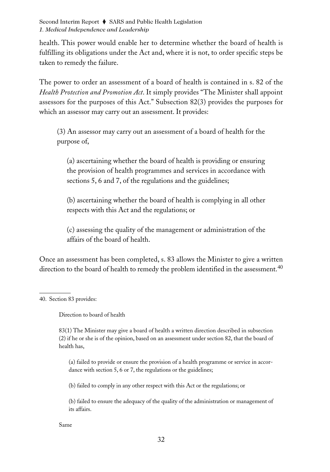health. This power would enable her to determine whether the board of health is fulfilling its obligations under the Act and, where it is not, to order specific steps be taken to remedy the failure.

The power to order an assessment of a board of health is contained in s. 82 of the *Health Protection and Promotion Act*. It simply provides "The Minister shall appoint assessors for the purposes of this Act." Subsection 82(3) provides the purposes for which an assessor may carry out an assessment. It provides:

(3) An assessor may carry out an assessment of a board of health for the purpose of,

(a) ascertaining whether the board of health is providing or ensuring the provision of health programmes and services in accordance with sections 5, 6 and 7, of the regulations and the guidelines;

(b) ascertaining whether the board of health is complying in all other respects with this Act and the regulations; or

(c) assessing the quality of the management or administration of the affairs of the board of health.

Once an assessment has been completed, s. 83 allows the Minister to give a written direction to the board of health to remedy the problem identified in the assessment.<sup>40</sup>

40. Section 83 provides:

Direction to board of health

83(1) The Minister may give a board of health a written direction described in subsection (2) if he or she is of the opinion, based on an assessment under section 82, that the board of health has,

(a) failed to provide or ensure the provision of a health programme or service in accordance with section 5, 6 or 7, the regulations or the guidelines;

(b) failed to comply in any other respect with this Act or the regulations; or

(b) failed to ensure the adequacy of the quality of the administration or management of its affairs.

Same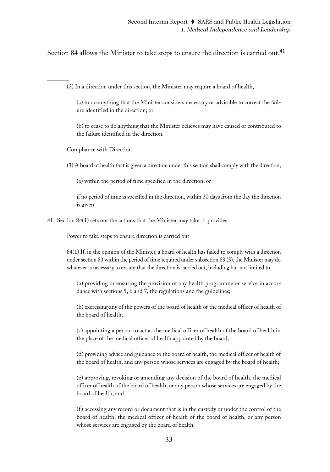Section 84 allows the Minister to take steps to ensure the direction is carried out.<sup>41</sup>

(2) In a direction under this section, the Minister may require a board of health,

(a) to do anything that the Minister considers necessary or advisable to correct the failure identified in the direction; or

(b) to cease to do anything that the Minister believes may have caused or contributed to the failure identified in the direction.

Compliance with Direction

(3) A board of health that is given a direction under this section shall comply with the direction,

(a) within the period of time specified in the direction; or

if no period of time is specified in the direction, within 30 days from the day the direction is given.

41. Section 84(1) sets out the actions that the Minister may take. It provides:

Power to take steps to ensure direction is carried out

84(1) If, in the opinion of the Minister, a board of health has failed to comply with a direction under section 83 within the period of time required under subsection 83 (3), the Minister may do whatever is necessary to ensure that the direction is carried out, including but not limited to,

(a) providing or ensuring the provision of any health programme or service in accordance with sections 5, 6 and 7, the regulations and the guidelines;

(b) exercising any of the powers of the board of health or the medical officer of health of the board of health;

(c) appointing a person to act as the medical officer of health of the board of health in the place of the medical officer of health appointed by the board;

(d) providing advice and guidance to the board of health, the medical officer of health of the board of health, and any person whose services are engaged by the board of health;

(e) approving, revoking or amending any decision of the board of health, the medical officer of health of the board of health, or any person whose services are engaged by the board of health; and

(f ) accessing any record or document that is in the custody or under the control of the board of health, the medical officer of health of the board of health, or any person whose services are engaged by the board of health.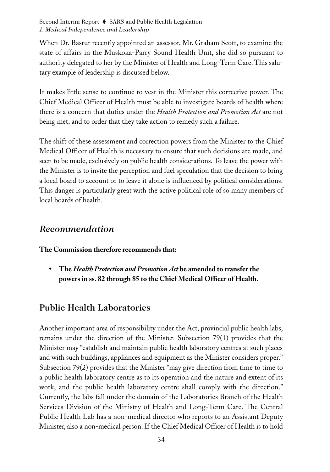When Dr. Basrur recently appointed an assessor, Mr. Graham Scott, to examine the state of affairs in the Muskoka-Parry Sound Health Unit, she did so pursuant to authority delegated to her by the Minister of Health and Long-Term Care. This salutary example of leadership is discussed below.

It makes little sense to continue to vest in the Minister this corrective power. The Chief Medical Officer of Health must be able to investigate boards of health where there is a concern that duties under the *Health Protection and Promotion Act* are not being met, and to order that they take action to remedy such a failure.

The shift of these assessment and correction powers from the Minister to the Chief Medical Officer of Health is necessary to ensure that such decisions are made, and seen to be made, exclusively on public health considerations. To leave the power with the Minister is to invite the perception and fuel speculation that the decision to bring a local board to account or to leave it alone is influenced by political considerations. This danger is particularly great with the active political role of so many members of local boards of health.

### *Recommendation*

**The Commission therefore recommends that:**

**• The** *Health Protection and Promotion Act* **be amended to transfer the powers in ss. 82 through 85 to the Chief Medical Officer of Health.**

# Public Health Laboratories

Another important area of responsibility under the Act, provincial public health labs, remains under the direction of the Minister. Subsection 79(1) provides that the Minister may "establish and maintain public health laboratory centres at such places and with such buildings, appliances and equipment as the Minister considers proper." Subsection 79(2) provides that the Minister "may give direction from time to time to a public health laboratory centre as to its operation and the nature and extent of its work, and the public health laboratory centre shall comply with the direction." Currently, the labs fall under the domain of the Laboratories Branch of the Health Services Division of the Ministry of Health and Long-Term Care. The Central Public Health Lab has a non-medical director who reports to an Assistant Deputy Minister, also a non-medical person. If the Chief Medical Officer of Health is to hold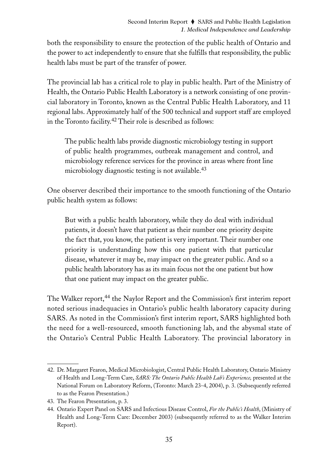both the responsibility to ensure the protection of the public health of Ontario and the power to act independently to ensure that she fulfills that responsibility, the public health labs must be part of the transfer of power.

The provincial lab has a critical role to play in public health. Part of the Ministry of Health, the Ontario Public Health Laboratory is a network consisting of one provincial laboratory in Toronto, known as the Central Public Health Laboratory, and 11 regional labs. Approximately half of the 500 technical and support staff are employed in the Toronto facility.<sup>42</sup> Their role is described as follows:

The public health labs provide diagnostic microbiology testing in support of public health programmes, outbreak management and control, and microbiology reference services for the province in areas where front line microbiology diagnostic testing is not available.<sup>43</sup>

One observer described their importance to the smooth functioning of the Ontario public health system as follows:

But with a public health laboratory, while they do deal with individual patients, it doesn't have that patient as their number one priority despite the fact that, you know, the patient is very important. Their number one priority is understanding how this one patient with that particular disease, whatever it may be, may impact on the greater public. And so a public health laboratory has as its main focus not the one patient but how that one patient may impact on the greater public.

The Walker report,<sup>44</sup> the Naylor Report and the Commission's first interim report noted serious inadequacies in Ontario's public health laboratory capacity during SARS. As noted in the Commission's first interim report, SARS highlighted both the need for a well-resourced, smooth functioning lab, and the abysmal state of the Ontario's Central Public Health Laboratory. The provincial laboratory in

<sup>42.</sup> Dr. Margaret Fearon, Medical Microbiologist, Central Public Health Laboratory, Ontario Ministry of Health and Long-Term Care, *SARS: The Ontario Public Health Lab's Experience,* presented at the National Forum on Laboratory Reform, (Toronto: March 23-4, 2004), p. 3. (Subsequently referred to as the Fearon Presentation.)

<sup>43.</sup> The Fearon Presentation, p. 3.

<sup>44.</sup> Ontario Expert Panel on SARS and Infectious Disease Control, *For the Public's Health*, (Ministry of Health and Long-Term Care: December 2003) (subsequently referred to as the Walker Interim Report).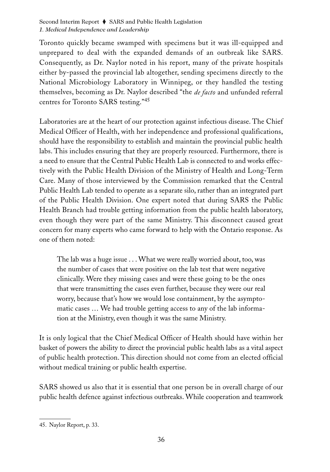Toronto quickly became swamped with specimens but it was ill-equipped and unprepared to deal with the expanded demands of an outbreak like SARS. Consequently, as Dr. Naylor noted in his report, many of the private hospitals either by-passed the provincial lab altogether, sending specimens directly to the National Microbiology Laboratory in Winnipeg, or they handled the testing themselves, becoming as Dr. Naylor described "the *de facto* and unfunded referral centres for Toronto SARS testing."<sup>45</sup>

Laboratories are at the heart of our protection against infectious disease. The Chief Medical Officer of Health, with her independence and professional qualifications, should have the responsibility to establish and maintain the provincial public health labs. This includes ensuring that they are properly resourced. Furthermore, there is a need to ensure that the Central Public Health Lab is connected to and works effectively with the Public Health Division of the Ministry of Health and Long-Term Care. Many of those interviewed by the Commission remarked that the Central Public Health Lab tended to operate as a separate silo, rather than an integrated part of the Public Health Division. One expert noted that during SARS the Public Health Branch had trouble getting information from the public health laboratory, even though they were part of the same Ministry. This disconnect caused great concern for many experts who came forward to help with the Ontario response. As one of them noted:

The lab was a huge issue . . . What we were really worried about, too, was the number of cases that were positive on the lab test that were negative clinically. Were they missing cases and were these going to be the ones that were transmitting the cases even further, because they were our real worry, because that's how we would lose containment, by the asymptomatic cases … We had trouble getting access to any of the lab information at the Ministry, even though it was the same Ministry.

It is only logical that the Chief Medical Officer of Health should have within her basket of powers the ability to direct the provincial public health labs as a vital aspect of public health protection. This direction should not come from an elected official without medical training or public health expertise.

SARS showed us also that it is essential that one person be in overall charge of our public health defence against infectious outbreaks. While cooperation and teamwork

<sup>45.</sup> Naylor Report, p. 33.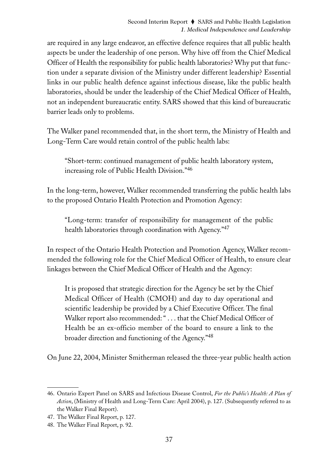are required in any large endeavor, an effective defence requires that all public health aspects be under the leadership of one person. Why hive off from the Chief Medical Officer of Health the responsibility for public health laboratories? Why put that function under a separate division of the Ministry under different leadership? Essential links in our public health defence against infectious disease, like the public health laboratories, should be under the leadership of the Chief Medical Officer of Health, not an independent bureaucratic entity. SARS showed that this kind of bureaucratic barrier leads only to problems.

The Walker panel recommended that, in the short term, the Ministry of Health and Long-Term Care would retain control of the public health labs:

"Short-term: continued management of public health laboratory system, increasing role of Public Health Division."46

In the long-term, however, Walker recommended transferring the public health labs to the proposed Ontario Health Protection and Promotion Agency:

"Long-term: transfer of responsibility for management of the public health laboratories through coordination with Agency."<sup>47</sup>

In respect of the Ontario Health Protection and Promotion Agency, Walker recommended the following role for the Chief Medical Officer of Health, to ensure clear linkages between the Chief Medical Officer of Health and the Agency:

It is proposed that strategic direction for the Agency be set by the Chief Medical Officer of Health (CMOH) and day to day operational and scientific leadership be provided by a Chief Executive Officer. The final Walker report also recommended: " . . . that the Chief Medical Officer of Health be an ex-officio member of the board to ensure a link to the broader direction and functioning of the Agency."48

On June 22, 2004, Minister Smitherman released the three-year public health action

<sup>46.</sup> Ontario Expert Panel on SARS and Infectious Disease Control, *For the Public's Health: A Plan of Action*, (Ministry of Health and Long-Term Care: April 2004), p. 127. (Subsequently referred to as the Walker Final Report).

<sup>47.</sup> The Walker Final Report, p. 127.

<sup>48.</sup> The Walker Final Report, p. 92.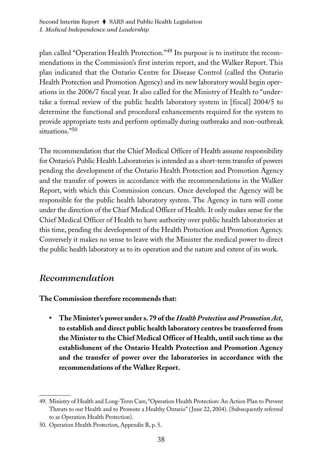plan called "Operation Health Protection."<sup>49</sup> Its purpose is to institute the recommendations in the Commission's first interim report, and the Walker Report. This plan indicated that the Ontario Centre for Disease Control (called the Ontario Health Protection and Promotion Agency) and its new laboratory would begin operations in the 2006/7 fiscal year. It also called for the Ministry of Health to "undertake a formal review of the public health laboratory system in [fiscal] 2004/5 to determine the functional and procedural enhancements required for the system to provide appropriate tests and perform optimally during outbreaks and non-outbreak situations."<sup>50</sup>

The recommendation that the Chief Medical Officer of Health assume responsibility for Ontario's Public Health Laboratories is intended as a short-term transfer of powers pending the development of the Ontario Health Protection and Promotion Agency and the transfer of powers in accordance with the recommendations in the Walker Report, with which this Commission concurs. Once developed the Agency will be responsible for the public health laboratory system. The Agency in turn will come under the direction of the Chief Medical Officer of Health. It only makes sense for the Chief Medical Officer of Health to have authority over public health laboratories at this time, pending the development of the Health Protection and Promotion Agency. Conversely it makes no sense to leave with the Minister the medical power to direct the public health laboratory as to its operation and the nature and extent of its work.

### *Recommendation*

**The Commission therefore recommends that:**

**• The Minister's power under s. 79 of the** *Health Protection and Promotion Act***, to establish and direct public health laboratory centres be transferred from the Minister to the Chief Medical Officer of Health, until such time as the establishment of the Ontario Health Protection and Promotion Agency and the transfer of power over the laboratories in accordance with the recommendations of the Walker Report.**

<sup>49.</sup> Ministry of Health and Long-Term Care, "Operation Health Protection: An Action Plan to Prevent Threats to our Health and to Promote a Healthy Ontario" ( June 22, 2004). (Subsequently referred to as Operation Health Protection).

<sup>50.</sup> Operation Health Protection, Appendix B, p. 5.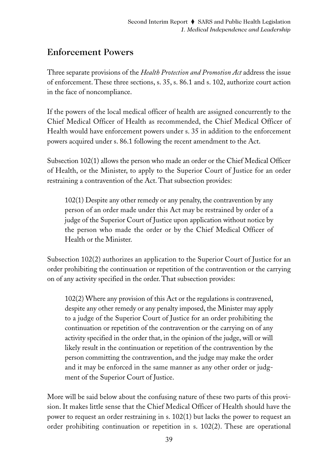# Enforcement Powers

Three separate provisions of the *Health Protection and Promotion Act* address the issue of enforcement. These three sections, s. 35, s. 86.1 and s. 102, authorize court action in the face of noncompliance.

If the powers of the local medical officer of health are assigned concurrently to the Chief Medical Officer of Health as recommended, the Chief Medical Officer of Health would have enforcement powers under s. 35 in addition to the enforcement powers acquired under s. 86.1 following the recent amendment to the Act.

Subsection 102(1) allows the person who made an order or the Chief Medical Officer of Health, or the Minister, to apply to the Superior Court of Justice for an order restraining a contravention of the Act. That subsection provides:

102(1) Despite any other remedy or any penalty, the contravention by any person of an order made under this Act may be restrained by order of a judge of the Superior Court of Justice upon application without notice by the person who made the order or by the Chief Medical Officer of Health or the Minister.

Subsection 102(2) authorizes an application to the Superior Court of Justice for an order prohibiting the continuation or repetition of the contravention or the carrying on of any activity specified in the order. That subsection provides:

102(2) Where any provision of this Act or the regulations is contravened, despite any other remedy or any penalty imposed, the Minister may apply to a judge of the Superior Court of Justice for an order prohibiting the continuation or repetition of the contravention or the carrying on of any activity specified in the order that, in the opinion of the judge, will or will likely result in the continuation or repetition of the contravention by the person committing the contravention, and the judge may make the order and it may be enforced in the same manner as any other order or judgment of the Superior Court of Justice.

More will be said below about the confusing nature of these two parts of this provision. It makes little sense that the Chief Medical Officer of Health should have the power to request an order restraining in s. 102(1) but lacks the power to request an order prohibiting continuation or repetition in s. 102(2). These are operational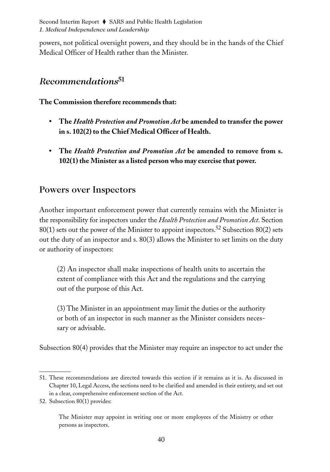powers, not political oversight powers, and they should be in the hands of the Chief Medical Officer of Health rather than the Minister.

# *Recommendations*<sup>51</sup>

### **The Commission therefore recommends that:**

- **The** *Health Protection and Promotion Act* **be amended to transfer the power in s. 102(2) to the Chief Medical Officer of Health.**
- **The** *Health Protection and Promotion Act* **be amended to remove from s. 102(1) the Minister as a listed person who may exercise that power.**

### Powers over Inspectors

Another important enforcement power that currently remains with the Minister is the responsibility for inspectors under the *Health Protection and Promotion Act*. Section  $80(1)$  sets out the power of the Minister to appoint inspectors.<sup>52</sup> Subsection 80(2) sets out the duty of an inspector and s. 80(3) allows the Minister to set limits on the duty or authority of inspectors:

(2) An inspector shall make inspections of health units to ascertain the extent of compliance with this Act and the regulations and the carrying out of the purpose of this Act.

(3) The Minister in an appointment may limit the duties or the authority or both of an inspector in such manner as the Minister considers necessary or advisable.

Subsection 80(4) provides that the Minister may require an inspector to act under the

<sup>51.</sup> These recommendations are directed towards this section if it remains as it is. As discussed in Chapter 10, Legal Access, the sections need to be clarified and amended in their entirety, and set out in a clear, comprehensive enforcement section of the Act.

<sup>52.</sup> Subsection 80(1) provides:

The Minister may appoint in writing one or more employees of the Ministry or other persons as inspectors.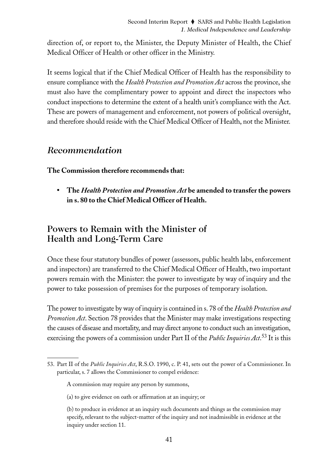direction of, or report to, the Minister, the Deputy Minister of Health, the Chief Medical Officer of Health or other officer in the Ministry.

It seems logical that if the Chief Medical Officer of Health has the responsibility to ensure compliance with the *Health Protection and Promotion Act* across the province, she must also have the complimentary power to appoint and direct the inspectors who conduct inspections to determine the extent of a health unit's compliance with the Act. These are powers of management and enforcement, not powers of political oversight, and therefore should reside with the Chief Medical Officer of Health, not the Minister.

### *Recommendation*

**The Commission therefore recommends that:**

**• The** *Health Protection and Promotion Act* **be amended to transfer the powers in s. 80 to the Chief Medical Officer of Health.**

# Powers to Remain with the Minister of Health and Long-Term Care

Once these four statutory bundles of power (assessors, public health labs, enforcement and inspectors) are transferred to the Chief Medical Officer of Health, two important powers remain with the Minister: the power to investigate by way of inquiry and the power to take possession of premises for the purposes of temporary isolation.

The power to investigate by way of inquiry is contained in s. 78 of the *Health Protection and Promotion Act*. Section 78 provides that the Minister may make investigations respecting the causes of disease and mortality, and may direct anyone to conduct such an investigation, exercising the powers of a commission under Part II of the *Public Inquiries Act*. <sup>53</sup> It is this

<sup>53.</sup> Part II of the *Public Inquiries Act*, R.S.O. 1990, c. P. 41, sets out the power of a Commissioner. In particular, s. 7 allows the Commissioner to compel evidence:

A commission may require any person by summons,

<sup>(</sup>a) to give evidence on oath or affirmation at an inquiry; or

<sup>(</sup>b) to produce in evidence at an inquiry such documents and things as the commission may specify, relevant to the subject-matter of the inquiry and not inadmissible in evidence at the inquiry under section 11.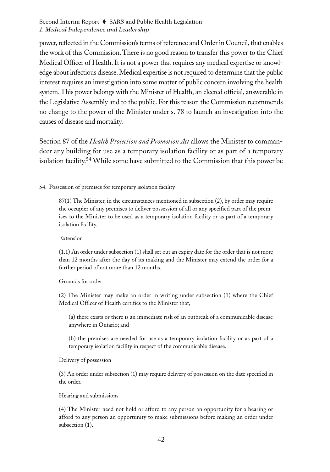power, reflected in the Commission's terms of reference and Order in Council, that enables the work of this Commission. There is no good reason to transfer this power to the Chief Medical Officer of Health. It is not a power that requires any medical expertise or knowledge about infectious disease. Medical expertise is not required to determine that the public interest requires an investigation into some matter of public concern involving the health system. This power belongs with the Minister of Health, an elected official, answerable in the Legislative Assembly and to the public. For this reason the Commission recommends no change to the power of the Minister under s. 78 to launch an investigation into the causes of disease and mortality.

Section 87 of the *Health Protection and Promotion Act* allows the Minister to commandeer any building for use as a temporary isolation facility or as part of a temporary isolation facility.<sup>54</sup> While some have submitted to the Commission that this power be

Extension

(1.1) An order under subsection (1) shall set out an expiry date for the order that is not more than 12 months after the day of its making and the Minister may extend the order for a further period of not more than 12 months.

Grounds for order

(2) The Minister may make an order in writing under subsection (1) where the Chief Medical Officer of Health certifies to the Minister that,

(a) there exists or there is an immediate risk of an outbreak of a communicable disease anywhere in Ontario; and

(b) the premises are needed for use as a temporary isolation facility or as part of a temporary isolation facility in respect of the communicable disease.

Delivery of possession

(3) An order under subsection (1) may require delivery of possession on the date specified in the order.

Hearing and submissions

(4) The Minister need not hold or afford to any person an opportunity for a hearing or afford to any person an opportunity to make submissions before making an order under subsection (1).

<sup>54.</sup> Possession of premises for temporary isolation facility

<sup>87(1)</sup> The Minister, in the circumstances mentioned in subsection (2), by order may require the occupier of any premises to deliver possession of all or any specified part of the premises to the Minister to be used as a temporary isolation facility or as part of a temporary isolation facility.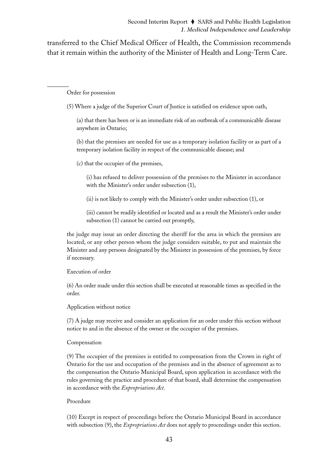transferred to the Chief Medical Officer of Health, the Commission recommends that it remain within the authority of the Minister of Health and Long-Term Care.

Order for possession

(5) Where a judge of the Superior Court of Justice is satisfied on evidence upon oath,

(a) that there has been or is an immediate risk of an outbreak of a communicable disease anywhere in Ontario;

(b) that the premises are needed for use as a temporary isolation facility or as part of a temporary isolation facility in respect of the communicable disease; and

(c) that the occupier of the premises,

(i) has refused to deliver possession of the premises to the Minister in accordance with the Minister's order under subsection (1),

(ii) is not likely to comply with the Minister's order under subsection (1), or

(iii) cannot be readily identified or located and as a result the Minister's order under subsection (1) cannot be carried out promptly,

the judge may issue an order directing the sheriff for the area in which the premises are located, or any other person whom the judge considers suitable, to put and maintain the Minister and any persons designated by the Minister in possession of the premises, by force if necessary.

Execution of order

(6) An order made under this section shall be executed at reasonable times as specified in the order.

Application without notice

(7) A judge may receive and consider an application for an order under this section without notice to and in the absence of the owner or the occupier of the premises.

#### Compensation

(9) The occupier of the premises is entitled to compensation from the Crown in right of Ontario for the use and occupation of the premises and in the absence of agreement as to the compensation the Ontario Municipal Board, upon application in accordance with the rules governing the practice and procedure of that board, shall determine the compensation in accordance with the *Expropriations Act*.

#### Procedure

(10) Except in respect of proceedings before the Ontario Municipal Board in accordance with subsection (9), the *Expropriations Act* does not apply to proceedings under this section.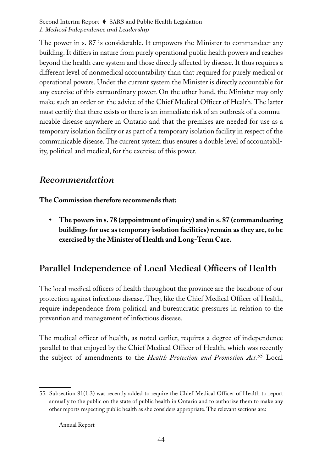The power in s. 87 is considerable. It empowers the Minister to commandeer any building. It differs in nature from purely operational public health powers and reaches beyond the health care system and those directly affected by disease. It thus requires a different level of nonmedical accountability than that required for purely medical or operational powers. Under the current system the Minister is directly accountable for any exercise of this extraordinary power. On the other hand, the Minister may only make such an order on the advice of the Chief Medical Officer of Health. The latter must certify that there exists or there is an immediate risk of an outbreak of a communicable disease anywhere in Ontario and that the premises are needed for use as a temporary isolation facility or as part of a temporary isolation facility in respect of the communicable disease. The current system thus ensures a double level of accountability, political and medical, for the exercise of this power.

## *Recommendation*

**The Commission therefore recommends that:**

**• The powers in s. 78 (appointment of inquiry) and in s. 87 (commandeering buildings for use as temporary isolation facilities) remain as they are, to be exercised by the Minister of Health and Long-Term Care.**

# Parallel Independence of Local Medical Officers of Health

The local medical officers of health throughout the province are the backbone of our protection against infectious disease. They, like the Chief Medical Officer of Health, require independence from political and bureaucratic pressures in relation to the prevention and management of infectious disease.

The medical officer of health, as noted earlier, requires a degree of independence parallel to that enjoyed by the Chief Medical Officer of Health, which was recently the subject of amendments to the *Health Protection and Promotion Act.*<sup>55</sup> Local

Annual Report

<sup>55.</sup> Subsection 81(1.3) was recently added to require the Chief Medical Officer of Health to report annually to the public on the state of public health in Ontario and to authorize them to make any other reports respecting public health as she considers appropriate. The relevant sections are: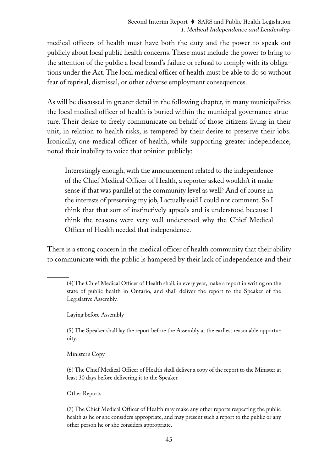medical officers of health must have both the duty and the power to speak out publicly about local public health concerns. These must include the power to bring to the attention of the public a local board's failure or refusal to comply with its obligations under the Act. The local medical officer of health must be able to do so without fear of reprisal, dismissal, or other adverse employment consequences.

As will be discussed in greater detail in the following chapter, in many municipalities the local medical officer of health is buried within the municipal governance structure. Their desire to freely communicate on behalf of those citizens living in their unit, in relation to health risks, is tempered by their desire to preserve their jobs. Ironically, one medical officer of health, while supporting greater independence, noted their inability to voice that opinion publicly:

Interestingly enough, with the announcement related to the independence of the Chief Medical Officer of Health, a reporter asked wouldn't it make sense if that was parallel at the community level as well? And of course in the interests of preserving my job, I actually said I could not comment. So I think that that sort of instinctively appeals and is understood because I think the reasons were very well understood why the Chief Medical Officer of Health needed that independence.

There is a strong concern in the medical officer of health community that their ability to communicate with the public is hampered by their lack of independence and their

(4) The Chief Medical Officer of Health shall, in every year, make a report in writing on the state of public health in Ontario, and shall deliver the report to the Speaker of the Legislative Assembly.

Laying before Assembly

(5) The Speaker shall lay the report before the Assembly at the earliest reasonable opportunity.

Minister's Copy

(6) The Chief Medical Officer of Health shall deliver a copy of the report to the Minister at least 30 days before delivering it to the Speaker.

Other Reports

(7) The Chief Medical Officer of Health may make any other reports respecting the public health as he or she considers appropriate, and may present such a report to the public or any other person he or she considers appropriate.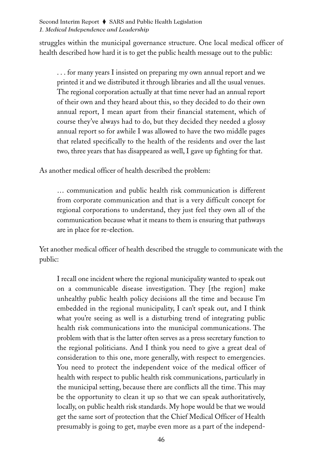struggles within the municipal governance structure. One local medical officer of health described how hard it is to get the public health message out to the public:

. . . for many years I insisted on preparing my own annual report and we printed it and we distributed it through libraries and all the usual venues. The regional corporation actually at that time never had an annual report of their own and they heard about this, so they decided to do their own annual report, I mean apart from their financial statement, which of course they've always had to do, but they decided they needed a glossy annual report so for awhile I was allowed to have the two middle pages that related specifically to the health of the residents and over the last two, three years that has disappeared as well, I gave up fighting for that.

As another medical officer of health described the problem:

… communication and public health risk communication is different from corporate communication and that is a very difficult concept for regional corporations to understand, they just feel they own all of the communication because what it means to them is ensuring that pathways are in place for re-election.

Yet another medical officer of health described the struggle to communicate with the public:

I recall one incident where the regional municipality wanted to speak out on a communicable disease investigation. They [the region] make unhealthy public health policy decisions all the time and because I'm embedded in the regional municipality, I can't speak out, and I think what you're seeing as well is a disturbing trend of integrating public health risk communications into the municipal communications. The problem with that is the latter often serves as a press secretary function to the regional politicians. And I think you need to give a great deal of consideration to this one, more generally, with respect to emergencies. You need to protect the independent voice of the medical officer of health with respect to public health risk communications, particularly in the municipal setting, because there are conflicts all the time. This may be the opportunity to clean it up so that we can speak authoritatively, locally, on public health risk standards. My hope would be that we would get the same sort of protection that the Chief Medical Officer of Health presumably is going to get, maybe even more as a part of the independ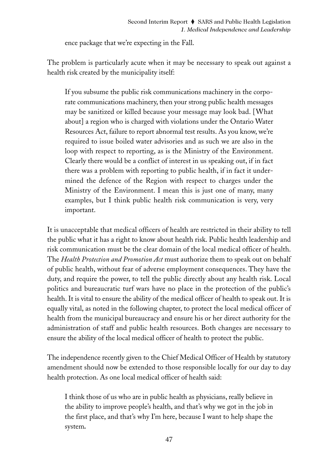ence package that we're expecting in the Fall.

The problem is particularly acute when it may be necessary to speak out against a health risk created by the municipality itself:

If you subsume the public risk communications machinery in the corporate communications machinery, then your strong public health messages may be sanitized or killed because your message may look bad. [What about] a region who is charged with violations under the Ontario Water Resources Act, failure to report abnormal test results. As you know, we're required to issue boiled water advisories and as such we are also in the loop with respect to reporting, as is the Ministry of the Environment. Clearly there would be a conflict of interest in us speaking out, if in fact there was a problem with reporting to public health, if in fact it undermined the defence of the Region with respect to charges under the Ministry of the Environment. I mean this is just one of many, many examples, but I think public health risk communication is very, very important.

It is unacceptable that medical officers of health are restricted in their ability to tell the public what it has a right to know about health risk. Public health leadership and risk communication must be the clear domain of the local medical officer of health. The *Health Protection and Promotion Act* must authorize them to speak out on behalf of public health, without fear of adverse employment consequences. They have the duty, and require the power, to tell the public directly about any health risk. Local politics and bureaucratic turf wars have no place in the protection of the public's health. It is vital to ensure the ability of the medical officer of health to speak out. It is equally vital, as noted in the following chapter, to protect the local medical officer of health from the municipal bureaucracy and ensure his or her direct authority for the administration of staff and public health resources. Both changes are necessary to ensure the ability of the local medical officer of health to protect the public.

The independence recently given to the Chief Medical Officer of Health by statutory amendment should now be extended to those responsible locally for our day to day health protection. As one local medical officer of health said:

I think those of us who are in public health as physicians, really believe in the ability to improve people's health, and that's why we got in the job in the first place, and that's why I'm here, because I want to help shape the system*.*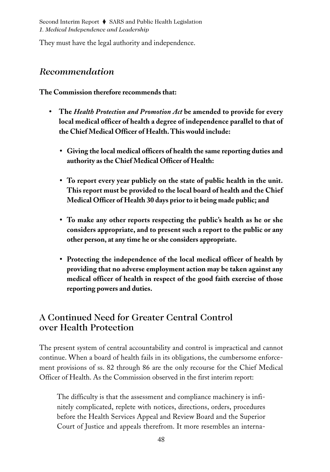They must have the legal authority and independence.

### *Recommendation*

**The Commission therefore recommends that:**

- **The** *Health Protection and Promotion Act* **be amended to provide for every local medical officer of health a degree of independence parallel to that of the Chief Medical Officer of Health. This would include:**
	- **Giving the local medical officers of health the same reporting duties and authority as the Chief Medical Officer of Health:**
	- **To report every year publicly on the state of public health in the unit. This report must be provided to the local board of health and the Chief Medical Officer of Health 30 days prior to it being made public; and**
	- **To make any other reports respecting the public's health as he or she considers appropriate, and to present such a report to the public or any other person, at any time he or she considers appropriate.**
	- **• Protecting the independence of the local medical officer of health by providing that no adverse employment action may be taken against any medical officer of health in respect of the good faith exercise of those reporting powers and duties.**

## A Continued Need for Greater Central Control over Health Protection

The present system of central accountability and control is impractical and cannot continue. When a board of health fails in its obligations, the cumbersome enforcement provisions of ss. 82 through 86 are the only recourse for the Chief Medical Officer of Health. As the Commission observed in the first interim report:

The difficulty is that the assessment and compliance machinery is infinitely complicated, replete with notices, directions, orders, procedures before the Health Services Appeal and Review Board and the Superior Court of Justice and appeals therefrom. It more resembles an interna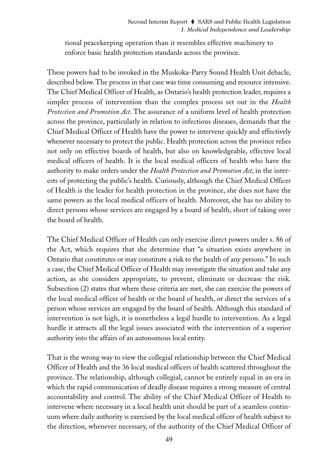tional peacekeeping operation than it resembles effective machinery to enforce basic health protection standards across the province.

These powers had to be invoked in the Muskoka-Parry Sound Health Unit debacle, described below. The process in that case was time consuming and resource intensive. The Chief Medical Officer of Health, as Ontario's health protection leader, requires a simpler process of intervention than the complex process set out in the *Health Protection and Promotion Act*. The assurance of a uniform level of health protection across the province, particularly in relation to infectious diseases, demands that the Chief Medical Officer of Health have the power to intervene quickly and effectively whenever necessary to protect the public. Health protection across the province relies not only on effective boards of health, but also on knowledgeable, effective local medical officers of health. It is the local medical officers of health who have the authority to make orders under the *Health Protection and Promotion Act*, in the interests of protecting the public's health. Curiously, although the Chief Medical Officer of Health is the leader for health protection in the province, she does not have the same powers as the local medical officers of health. Moreover, she has no ability to direct persons whose services are engaged by a board of health, short of taking over the board of health.

The Chief Medical Officer of Health can only exercise direct powers under s. 86 of the Act, which requires that she determine that "a situation exists anywhere in Ontario that constitutes or may constitute a risk to the health of any persons." In such a case, the Chief Medical Officer of Health may investigate the situation and take any action, as she considers appropriate, to prevent, eliminate or decrease the risk. Subsection (2) states that where these criteria are met, she can exercise the powers of the local medical officer of health or the board of health, or direct the services of a person whose services are engaged by the board of health. Although this standard of intervention is not high, it is nonetheless a legal hurdle to intervention. As a legal hurdle it attracts all the legal issues associated with the intervention of a superior authority into the affairs of an autonomous local entity.

That is the wrong way to view the collegial relationship between the Chief Medical Officer of Health and the 36 local medical officers of health scattered throughout the province. The relationship, although collegial, cannot be entirely equal in an era in which the rapid communication of deadly disease requires a strong measure of central accountability and control. The ability of the Chief Medical Officer of Health to intervene where necessary in a local health unit should be part of a seamless continuum where daily authority is exercised by the local medical officer of health subject to the direction, whenever necessary, of the authority of the Chief Medical Officer of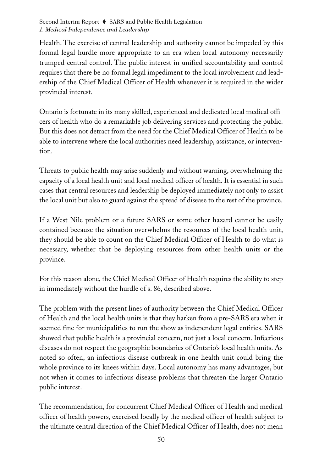Health. The exercise of central leadership and authority cannot be impeded by this formal legal hurdle more appropriate to an era when local autonomy necessarily trumped central control. The public interest in unified accountability and control requires that there be no formal legal impediment to the local involvement and leadership of the Chief Medical Officer of Health whenever it is required in the wider provincial interest.

Ontario is fortunate in its many skilled, experienced and dedicated local medical officers of health who do a remarkable job delivering services and protecting the public. But this does not detract from the need for the Chief Medical Officer of Health to be able to intervene where the local authorities need leadership, assistance, or intervention.

Threats to public health may arise suddenly and without warning, overwhelming the capacity of a local health unit and local medical officer of health. It is essential in such cases that central resources and leadership be deployed immediately not only to assist the local unit but also to guard against the spread of disease to the rest of the province.

If a West Nile problem or a future SARS or some other hazard cannot be easily contained because the situation overwhelms the resources of the local health unit, they should be able to count on the Chief Medical Officer of Health to do what is necessary, whether that be deploying resources from other health units or the province.

For this reason alone, the Chief Medical Officer of Health requires the ability to step in immediately without the hurdle of s. 86, described above.

The problem with the present lines of authority between the Chief Medical Officer of Health and the local health units is that they harken from a pre-SARS era when it seemed fine for municipalities to run the show as independent legal entities. SARS showed that public health is a provincial concern, not just a local concern. Infectious diseases do not respect the geographic boundaries of Ontario's local health units. As noted so often, an infectious disease outbreak in one health unit could bring the whole province to its knees within days. Local autonomy has many advantages, but not when it comes to infectious disease problems that threaten the larger Ontario public interest.

The recommendation, for concurrent Chief Medical Officer of Health and medical officer of health powers, exercised locally by the medical officer of health subject to the ultimate central direction of the Chief Medical Officer of Health, does not mean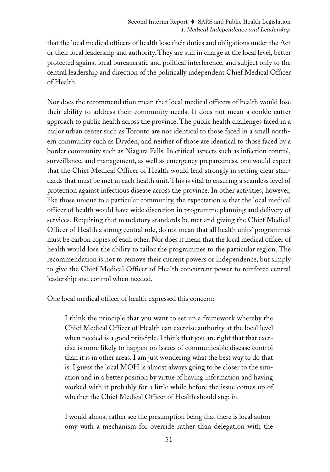that the local medical officers of health lose their duties and obligations under the Act or their local leadership and authority. They are still in charge at the local level, better protected against local bureaucratic and political interference, and subject only to the central leadership and direction of the politically independent Chief Medical Officer of Health.

Nor does the recommendation mean that local medical officers of health would lose their ability to address their community needs. It does not mean a cookie cutter approach to public health across the province. The public health challenges faced in a major urban center such as Toronto are not identical to those faced in a small northern community such as Dryden, and neither of those are identical to those faced by a border community such as Niagara Falls. In critical aspects such as infection control, surveillance, and management, as well as emergency preparedness, one would expect that the Chief Medical Officer of Health would lead strongly in setting clear standards that must be met in each health unit. This is vital to ensuring a seamless level of protection against infectious disease across the province. In other activities, however, like those unique to a particular community, the expectation is that the local medical officer of health would have wide discretion in programme planning and delivery of services. Requiring that mandatory standards be met and giving the Chief Medical Officer of Health a strong central role, do not mean that all health units' programmes must be carbon copies of each other. Nor does it mean that the local medical officer of health would lose the ability to tailor the programmes to the particular region. The recommendation is not to remove their current powers or independence, but simply to give the Chief Medical Officer of Health concurrent power to reinforce central leadership and control when needed.

One local medical officer of health expressed this concern:

I think the principle that you want to set up a framework whereby the Chief Medical Officer of Health can exercise authority at the local level when needed is a good principle. I think that you are right that that exercise is more likely to happen on issues of communicable disease control than it is in other areas. I am just wondering what the best way to do that is. I guess the local MOH is almost always going to be closer to the situation and in a better position by virtue of having information and having worked with it probably for a little while before the issue comes up of whether the Chief Medical Officer of Health should step in.

I would almost rather see the presumption being that there is local autonomy with a mechanism for override rather than delegation with the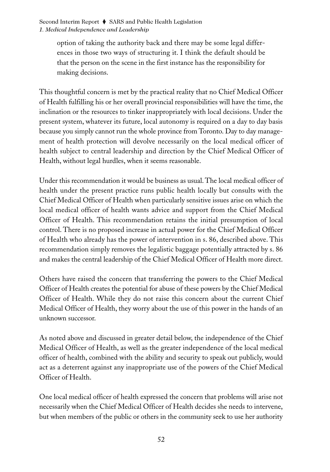> option of taking the authority back and there may be some legal differences in those two ways of structuring it. I think the default should be that the person on the scene in the first instance has the responsibility for making decisions.

This thoughtful concern is met by the practical reality that no Chief Medical Officer of Health fulfilling his or her overall provincial responsibilities will have the time, the inclination or the resources to tinker inappropriately with local decisions. Under the present system, whatever its future, local autonomy is required on a day to day basis because you simply cannot run the whole province from Toronto. Day to day management of health protection will devolve necessarily on the local medical officer of health subject to central leadership and direction by the Chief Medical Officer of Health, without legal hurdles, when it seems reasonable.

Under this recommendation it would be business as usual. The local medical officer of health under the present practice runs public health locally but consults with the Chief Medical Officer of Health when particularly sensitive issues arise on which the local medical officer of health wants advice and support from the Chief Medical Officer of Health. This recommendation retains the initial presumption of local control. There is no proposed increase in actual power for the Chief Medical Officer of Health who already has the power of intervention in s. 86, described above. This recommendation simply removes the legalistic baggage potentially attracted by s. 86 and makes the central leadership of the Chief Medical Officer of Health more direct.

Others have raised the concern that transferring the powers to the Chief Medical Officer of Health creates the potential for abuse of these powers by the Chief Medical Officer of Health. While they do not raise this concern about the current Chief Medical Officer of Health, they worry about the use of this power in the hands of an unknown successor.

As noted above and discussed in greater detail below, the independence of the Chief Medical Officer of Health, as well as the greater independence of the local medical officer of health, combined with the ability and security to speak out publicly, would act as a deterrent against any inappropriate use of the powers of the Chief Medical Officer of Health.

One local medical officer of health expressed the concern that problems will arise not necessarily when the Chief Medical Officer of Health decides she needs to intervene, but when members of the public or others in the community seek to use her authority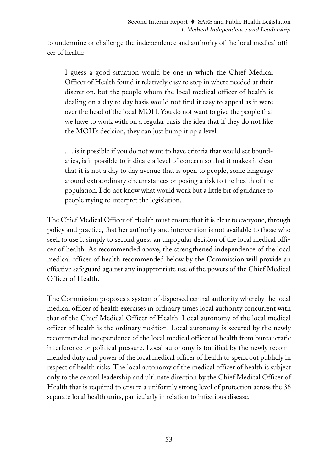to undermine or challenge the independence and authority of the local medical officer of health:

I guess a good situation would be one in which the Chief Medical Officer of Health found it relatively easy to step in where needed at their discretion, but the people whom the local medical officer of health is dealing on a day to day basis would not find it easy to appeal as it were over the head of the local MOH. You do not want to give the people that we have to work with on a regular basis the idea that if they do not like the MOH's decision, they can just bump it up a level.

. . . is it possible if you do not want to have criteria that would set boundaries, is it possible to indicate a level of concern so that it makes it clear that it is not a day to day avenue that is open to people, some language around extraordinary circumstances or posing a risk to the health of the population. I do not know what would work but a little bit of guidance to people trying to interpret the legislation.

The Chief Medical Officer of Health must ensure that it is clear to everyone, through policy and practice, that her authority and intervention is not available to those who seek to use it simply to second guess an unpopular decision of the local medical officer of health. As recommended above, the strengthened independence of the local medical officer of health recommended below by the Commission will provide an effective safeguard against any inappropriate use of the powers of the Chief Medical Officer of Health.

The Commission proposes a system of dispersed central authority whereby the local medical officer of health exercises in ordinary times local authority concurrent with that of the Chief Medical Officer of Health. Local autonomy of the local medical officer of health is the ordinary position. Local autonomy is secured by the newly recommended independence of the local medical officer of health from bureaucratic interference or political pressure. Local autonomy is fortified by the newly recommended duty and power of the local medical officer of health to speak out publicly in respect of health risks. The local autonomy of the medical officer of health is subject only to the central leadership and ultimate direction by the Chief Medical Officer of Health that is required to ensure a uniformly strong level of protection across the 36 separate local health units, particularly in relation to infectious disease.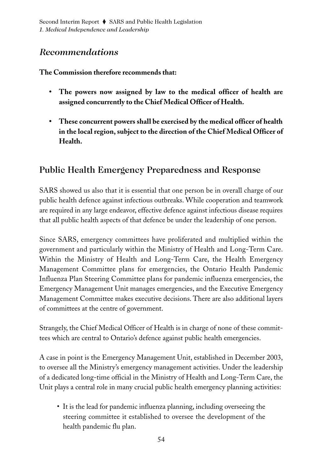# *Recommendations*

### **The Commission therefore recommends that:**

- **The powers now assigned by law to the medical officer of health are assigned concurrently to the Chief Medical Officer of Health.**
- **These concurrent powers shall be exercised by the medical officer of health in the local region, subject to the direction of the Chief Medical Officer of Health.**

# Public Health Emergency Preparedness and Response

SARS showed us also that it is essential that one person be in overall charge of our public health defence against infectious outbreaks. While cooperation and teamwork are required in any large endeavor, effective defence against infectious disease requires that all public health aspects of that defence be under the leadership of one person.

Since SARS, emergency committees have proliferated and multiplied within the government and particularly within the Ministry of Health and Long-Term Care. Within the Ministry of Health and Long-Term Care, the Health Emergency Management Committee plans for emergencies, the Ontario Health Pandemic Influenza Plan Steering Committee plans for pandemic influenza emergencies, the Emergency Management Unit manages emergencies, and the Executive Emergency Management Committee makes executive decisions. There are also additional layers of committees at the centre of government.

Strangely, the Chief Medical Officer of Health is in charge of none of these committees which are central to Ontario's defence against public health emergencies.

A case in point is the Emergency Management Unit, established in December 2003, to oversee all the Ministry's emergency management activities. Under the leadership of a dedicated long-time official in the Ministry of Health and Long-Term Care, the Unit plays a central role in many crucial public health emergency planning activities:

• It is the lead for pandemic influenza planning, including overseeing the steering committee it established to oversee the development of the health pandemic flu plan.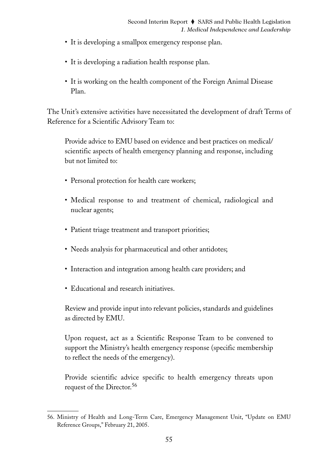- It is developing a smallpox emergency response plan.
- It is developing a radiation health response plan.
- It is working on the health component of the Foreign Animal Disease Plan.

The Unit's extensive activities have necessitated the development of draft Terms of Reference for a Scientific Advisory Team to:

Provide advice to EMU based on evidence and best practices on medical/ scientific aspects of health emergency planning and response, including but not limited to:

- Personal protection for health care workers;
- Medical response to and treatment of chemical, radiological and nuclear agents;
- Patient triage treatment and transport priorities;
- Needs analysis for pharmaceutical and other antidotes;
- Interaction and integration among health care providers; and
- Educational and research initiatives.

Review and provide input into relevant policies, standards and guidelines as directed by EMU.

Upon request, act as a Scientific Response Team to be convened to support the Ministry's health emergency response (specific membership to reflect the needs of the emergency).

Provide scientific advice specific to health emergency threats upon request of the Director.<sup>56</sup>

<sup>56.</sup> Ministry of Health and Long-Term Care, Emergency Management Unit, "Update on EMU Reference Groups," February 21, 2005.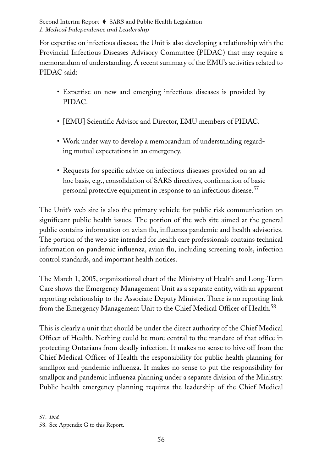For expertise on infectious disease, the Unit is also developing a relationship with the Provincial Infectious Diseases Advisory Committee (PIDAC) that may require a memorandum of understanding. A recent summary of the EMU's activities related to PIDAC said:

- Expertise on new and emerging infectious diseases is provided by PIDAC.
- [EMU] Scientific Advisor and Director, EMU members of PIDAC.
- Work under way to develop a memorandum of understanding regarding mutual expectations in an emergency.
- Requests for specific advice on infectious diseases provided on an ad hoc basis, e.g., consolidation of SARS directives, confirmation of basic personal protective equipment in response to an infectious disease.<sup>57</sup>

The Unit's web site is also the primary vehicle for public risk communication on significant public health issues. The portion of the web site aimed at the general public contains information on avian flu, influenza pandemic and health advisories. The portion of the web site intended for health care professionals contains technical information on pandemic influenza, avian flu, including screening tools, infection control standards, and important health notices.

The March 1, 2005, organizational chart of the Ministry of Health and Long-Term Care shows the Emergency Management Unit as a separate entity, with an apparent reporting relationship to the Associate Deputy Minister. There is no reporting link from the Emergency Management Unit to the Chief Medical Officer of Health.<sup>58</sup>

This is clearly a unit that should be under the direct authority of the Chief Medical Officer of Health. Nothing could be more central to the mandate of that office in protecting Ontarians from deadly infection. It makes no sense to hive off from the Chief Medical Officer of Health the responsibility for public health planning for smallpox and pandemic influenza. It makes no sense to put the responsibility for smallpox and pandemic influenza planning under a separate division of the Ministry. Public health emergency planning requires the leadership of the Chief Medical

<sup>57.</sup> *Ibid.*

<sup>58.</sup> See Appendix G to this Report.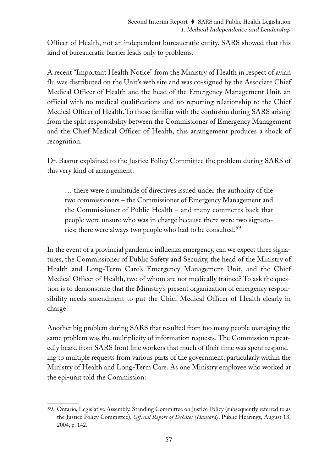Officer of Health, not an independent bureaucratic entity. SARS showed that this kind of bureaucratic barrier leads only to problems.

A recent "Important Health Notice" from the Ministry of Health in respect of avian flu was distributed on the Unit's web site and was co-signed by the Associate Chief Medical Officer of Health and the head of the Emergency Management Unit, an official with no medical qualifications and no reporting relationship to the Chief Medical Officer of Health. To those familiar with the confusion during SARS arising from the split responsibility between the Commissioner of Emergency Management and the Chief Medical Officer of Health, this arrangement produces a shock of recognition.

Dr. Basrur explained to the Justice Policy Committee the problem during SARS of this very kind of arrangement:

… there were a multitude of directives issued under the authority of the two commissioners – the Commissioner of Emergency Management and the Commissioner of Public Health – and many comments back that people were unsure who was in charge because there were two signatories; there were always two people who had to be consulted.<sup>59</sup>

In the event of a provincial pandemic influenza emergency, can we expect three signatures, the Commissioner of Public Safety and Security, the head of the Ministry of Health and Long-Term Care's Emergency Management Unit, and the Chief Medical Officer of Health, two of whom are not medically trained? To ask the question is to demonstrate that the Ministry's present organization of emergency responsibility needs amendment to put the Chief Medical Officer of Health clearly in charge.

Another big problem during SARS that resulted from too many people managing the same problem was the multiplicity of information requests. The Commission repeatedly heard from SARS front line workers that much of their time was spent responding to multiple requests from various parts of the government, particularly within the Ministry of Health and Long-Term Care. As one Ministry employee who worked at the epi-unit told the Commission:

<sup>59.</sup> Ontario, Legislative Assembly, Standing Committee on Justice Policy (subsequently referred to as the Justice Policy Committee), *Official Report of Debates (Hansard)*, Public Hearings, August 18, 2004, p. 142.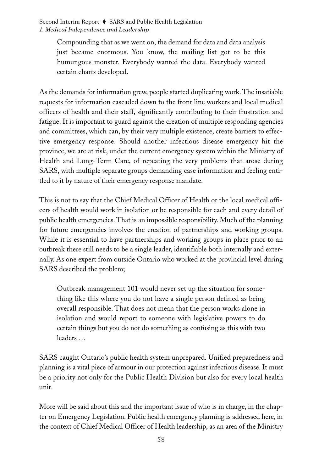Compounding that as we went on, the demand for data and data analysis just became enormous. You know, the mailing list got to be this humungous monster. Everybody wanted the data. Everybody wanted certain charts developed.

As the demands for information grew, people started duplicating work. The insatiable requests for information cascaded down to the front line workers and local medical officers of health and their staff, significantly contributing to their frustration and fatigue. It is important to guard against the creation of multiple responding agencies and committees, which can, by their very multiple existence, create barriers to effective emergency response. Should another infectious disease emergency hit the province, we are at risk, under the current emergency system within the Ministry of Health and Long-Term Care, of repeating the very problems that arose during SARS, with multiple separate groups demanding case information and feeling entitled to it by nature of their emergency response mandate.

This is not to say that the Chief Medical Officer of Health or the local medical officers of health would work in isolation or be responsible for each and every detail of public health emergencies. That is an impossible responsibility. Much of the planning for future emergencies involves the creation of partnerships and working groups. While it is essential to have partnerships and working groups in place prior to an outbreak there still needs to be a single leader, identifiable both internally and externally. As one expert from outside Ontario who worked at the provincial level during SARS described the problem;

Outbreak management 101 would never set up the situation for something like this where you do not have a single person defined as being overall responsible. That does not mean that the person works alone in isolation and would report to someone with legislative powers to do certain things but you do not do something as confusing as this with two leaders …

SARS caught Ontario's public health system unprepared. Unified preparedness and planning is a vital piece of armour in our protection against infectious disease. It must be a priority not only for the Public Health Division but also for every local health unit.

More will be said about this and the important issue of who is in charge, in the chapter on Emergency Legislation. Public health emergency planning is addressed here, in the context of Chief Medical Officer of Health leadership, as an area of the Ministry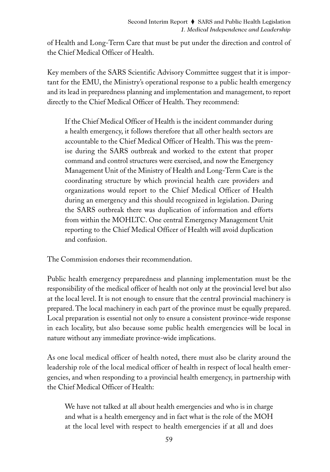of Health and Long-Term Care that must be put under the direction and control of the Chief Medical Officer of Health.

Key members of the SARS Scientific Advisory Committee suggest that it is important for the EMU, the Ministry's operational response to a public health emergency and its lead in preparedness planning and implementation and management, to report directly to the Chief Medical Officer of Health. They recommend:

If the Chief Medical Officer of Health is the incident commander during a health emergency, it follows therefore that all other health sectors are accountable to the Chief Medical Officer of Health. This was the premise during the SARS outbreak and worked to the extent that proper command and control structures were exercised, and now the Emergency Management Unit of the Ministry of Health and Long-Term Care is the coordinating structure by which provincial health care providers and organizations would report to the Chief Medical Officer of Health during an emergency and this should recognized in legislation. During the SARS outbreak there was duplication of information and efforts from within the MOHLTC. One central Emergency Management Unit reporting to the Chief Medical Officer of Health will avoid duplication and confusion.

The Commission endorses their recommendation.

Public health emergency preparedness and planning implementation must be the responsibility of the medical officer of health not only at the provincial level but also at the local level. It is not enough to ensure that the central provincial machinery is prepared. The local machinery in each part of the province must be equally prepared. Local preparation is essential not only to ensure a consistent province-wide response in each locality, but also because some public health emergencies will be local in nature without any immediate province-wide implications.

As one local medical officer of health noted, there must also be clarity around the leadership role of the local medical officer of health in respect of local health emergencies, and when responding to a provincial health emergency, in partnership with the Chief Medical Officer of Health:

We have not talked at all about health emergencies and who is in charge and what is a health emergency and in fact what is the role of the MOH at the local level with respect to health emergencies if at all and does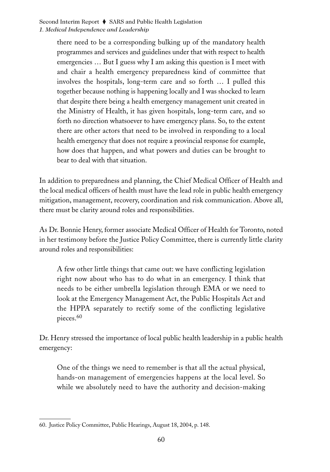there need to be a corresponding bulking up of the mandatory health programmes and services and guidelines under that with respect to health emergencies … But I guess why I am asking this question is I meet with and chair a health emergency preparedness kind of committee that involves the hospitals, long-term care and so forth … I pulled this together because nothing is happening locally and I was shocked to learn that despite there being a health emergency management unit created in the Ministry of Health, it has given hospitals, long-term care, and so forth no direction whatsoever to have emergency plans. So, to the extent there are other actors that need to be involved in responding to a local health emergency that does not require a provincial response for example, how does that happen, and what powers and duties can be brought to bear to deal with that situation.

In addition to preparedness and planning, the Chief Medical Officer of Health and the local medical officers of health must have the lead role in public health emergency mitigation, management, recovery, coordination and risk communication. Above all, there must be clarity around roles and responsibilities.

As Dr. Bonnie Henry, former associate Medical Officer of Health for Toronto, noted in her testimony before the Justice Policy Committee, there is currently little clarity around roles and responsibilities:

A few other little things that came out: we have conflicting legislation right now about who has to do what in an emergency. I think that needs to be either umbrella legislation through EMA or we need to look at the Emergency Management Act, the Public Hospitals Act and the HPPA separately to rectify some of the conflicting legislative pieces.<sup>60</sup>

Dr. Henry stressed the importance of local public health leadership in a public health emergency:

One of the things we need to remember is that all the actual physical, hands-on management of emergencies happens at the local level. So while we absolutely need to have the authority and decision-making

<sup>60.</sup> Justice Policy Committee, Public Hearings, August 18, 2004, p. 148.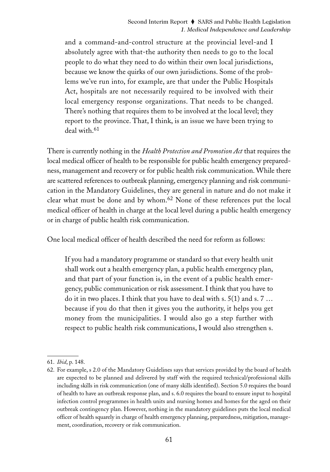and a command-and-control structure at the provincial level-and I absolutely agree with that-the authority then needs to go to the local people to do what they need to do within their own local jurisdictions, because we know the quirks of our own jurisdictions. Some of the problems we've run into, for example, are that under the Public Hospitals Act, hospitals are not necessarily required to be involved with their local emergency response organizations. That needs to be changed. There's nothing that requires them to be involved at the local level; they report to the province. That, I think, is an issue we have been trying to deal with.<sup>61</sup>

There is currently nothing in the *Health Protection and Promotion Act* that requires the local medical officer of health to be responsible for public health emergency preparedness, management and recovery or for public health risk communication. While there are scattered references to outbreak planning, emergency planning and risk communication in the Mandatory Guidelines, they are general in nature and do not make it clear what must be done and by whom.<sup>62</sup> None of these references put the local medical officer of health in charge at the local level during a public health emergency or in charge of public health risk communication.

One local medical officer of health described the need for reform as follows:

If you had a mandatory programme or standard so that every health unit shall work out a health emergency plan, a public health emergency plan, and that part of your function is, in the event of a public health emergency, public communication or risk assessment. I think that you have to do it in two places. I think that you have to deal with s. 5(1) and s. 7 … because if you do that then it gives you the authority, it helps you get money from the municipalities. I would also go a step further with respect to public health risk communications, I would also strengthen s.

<sup>61.</sup> *Ibid*, p. 148.

<sup>62.</sup> For example, s 2.0 of the Mandatory Guidelines says that services provided by the board of health are expected to be planned and delivered by staff with the required technical/professional skills including skills in risk communication (one of many skills identified). Section 5.0 requires the board of health to have an outbreak response plan, and s. 6.0 requires the board to ensure input to hospital infection control programmes in health units and nursing homes and homes for the aged on their outbreak contingency plan. However, nothing in the mandatory guidelines puts the local medical officer of health squarely in charge of health emergency planning, preparedness, mitigation, management, coordination, recovery or risk communication.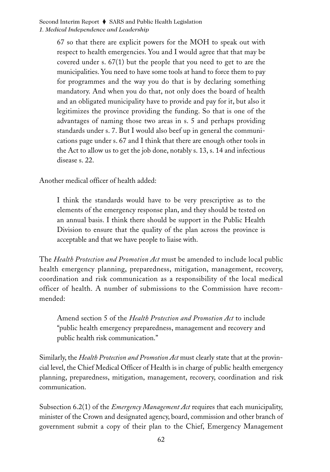67 so that there are explicit powers for the MOH to speak out with respect to health emergencies. You and I would agree that that may be covered under s. 67(1) but the people that you need to get to are the municipalities. You need to have some tools at hand to force them to pay for programmes and the way you do that is by declaring something mandatory. And when you do that, not only does the board of health and an obligated municipality have to provide and pay for it, but also it legitimizes the province providing the funding. So that is one of the advantages of naming those two areas in s. 5 and perhaps providing standards under s. 7. But I would also beef up in general the communications page under s. 67 and I think that there are enough other tools in the Act to allow us to get the job done, notably s. 13, s. 14 and infectious disease s. 22.

Another medical officer of health added:

I think the standards would have to be very prescriptive as to the elements of the emergency response plan, and they should be tested on an annual basis. I think there should be support in the Public Health Division to ensure that the quality of the plan across the province is acceptable and that we have people to liaise with.

The *Health Protection and Promotion Act* must be amended to include local public health emergency planning, preparedness, mitigation, management, recovery, coordination and risk communication as a responsibility of the local medical officer of health. A number of submissions to the Commission have recommended:

Amend section 5 of the *Health Protection and Promotion Act* to include "public health emergency preparedness, management and recovery and public health risk communication."

Similarly, the *Health Protection and Promotion Act* must clearly state that at the provincial level, the Chief Medical Officer of Health is in charge of public health emergency planning, preparedness, mitigation, management, recovery, coordination and risk communication.

Subsection 6.2(1) of the *Emergency Management Act* requires that each municipality, minister of the Crown and designated agency, board, commission and other branch of government submit a copy of their plan to the Chief, Emergency Management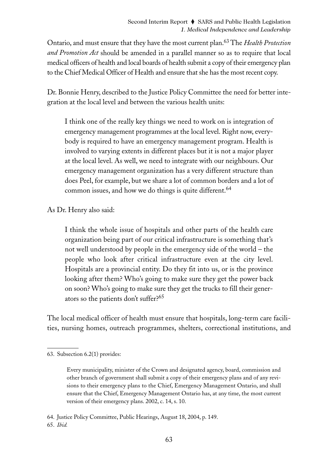Ontario, and must ensure that they have the most current plan.63 The *Health Protection and Promotion Act* should be amended in a parallel manner so as to require that local medical officers of health and local boards of health submit a copy of their emergency plan to the Chief Medical Officer of Health and ensure that she has the most recent copy.

Dr. Bonnie Henry, described to the Justice Policy Committee the need for better integration at the local level and between the various health units:

I think one of the really key things we need to work on is integration of emergency management programmes at the local level. Right now, everybody is required to have an emergency management program. Health is involved to varying extents in different places but it is not a major player at the local level. As well, we need to integrate with our neighbours. Our emergency management organization has a very different structure than does Peel, for example, but we share a lot of common borders and a lot of common issues, and how we do things is quite different.<sup>64</sup>

As Dr. Henry also said:

I think the whole issue of hospitals and other parts of the health care organization being part of our critical infrastructure is something that's not well understood by people in the emergency side of the world – the people who look after critical infrastructure even at the city level. Hospitals are a provincial entity. Do they fit into us, or is the province looking after them? Who's going to make sure they get the power back on soon? Who's going to make sure they get the trucks to fill their generators so the patients don't suffer?<sup>65</sup>

The local medical officer of health must ensure that hospitals, long-term care facilities, nursing homes, outreach programmes, shelters, correctional institutions, and

<sup>63.</sup> Subsection 6.2(1) provides:

Every municipality, minister of the Crown and designated agency, board, commission and other branch of government shall submit a copy of their emergency plans and of any revisions to their emergency plans to the Chief, Emergency Management Ontario, and shall ensure that the Chief, Emergency Management Ontario has, at any time, the most current version of their emergency plans. 2002, c. 14, s. 10.

<sup>64.</sup> Justice Policy Committee, Public Hearings, August 18, 2004, p. 149. 65. *Ibid.*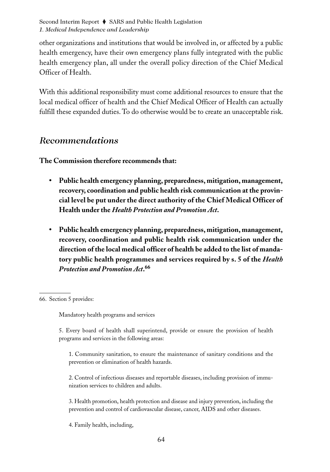other organizations and institutions that would be involved in, or affected by a public health emergency, have their own emergency plans fully integrated with the public health emergency plan, all under the overall policy direction of the Chief Medical Officer of Health.

With this additional responsibility must come additional resources to ensure that the local medical officer of health and the Chief Medical Officer of Health can actually fulfill these expanded duties. To do otherwise would be to create an unacceptable risk.

### *Recommendations*

**The Commission therefore recommends that:**

- **Public health emergency planning, preparedness, mitigation, management, recovery, coordination and public health risk communication at the provincial level be put under the direct authority of the Chief Medical Officer of Health under the** *Health Protection and Promotion Act***.**
- **Public health emergency planning, preparedness, mitigation, management, recovery, coordination and public health risk communication under the direction of the local medical officer of health be added to the list of mandatory public health programmes and services required by s. 5 of the** *Health Protection and Promotion Act***. 66**

Mandatory health programs and services

5. Every board of health shall superintend, provide or ensure the provision of health programs and services in the following areas:

1. Community sanitation, to ensure the maintenance of sanitary conditions and the prevention or elimination of health hazards.

2. Control of infectious diseases and reportable diseases, including provision of immunization services to children and adults.

3. Health promotion, health protection and disease and injury prevention, including the prevention and control of cardiovascular disease, cancer, AIDS and other diseases.

4. Family health, including,

<sup>66.</sup> Section 5 provides: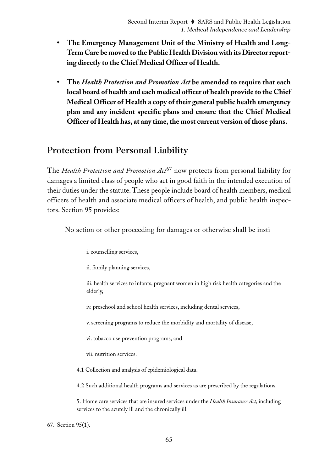- **The Emergency Management Unit of the Ministry of Health and Long-Term Care be moved to the Public Health Division with its Director reporting directly to the Chief Medical Officer of Health.**
- **The** *Health Protection and Promotion Act* **be amended to require that each local board of health and each medical officer of health provide to the Chief Medical Officer of Health a copy of their general public health emergency plan and any incident specific plans and ensure that the Chief Medical Officer of Health has, at any time, the most current version of those plans.**

### Protection from Personal Liability

The *Health Protection and Promotion Act*<sup>67</sup> now protects from personal liability for damages a limited class of people who act in good faith in the intended execution of their duties under the statute. These people include board of health members, medical officers of health and associate medical officers of health, and public health inspectors. Section 95 provides:

No action or other proceeding for damages or otherwise shall be insti-

i. counselling services,

ii. family planning services,

iii. health services to infants, pregnant women in high risk health categories and the elderly,

iv. preschool and school health services, including dental services,

v. screening programs to reduce the morbidity and mortality of disease,

vi. tobacco use prevention programs, and

vii. nutrition services.

4.1 Collection and analysis of epidemiological data.

4.2 Such additional health programs and services as are prescribed by the regulations.

5. Home care services that are insured services under the *Health Insurance Act*, including services to the acutely ill and the chronically ill.

67. Section 95(1).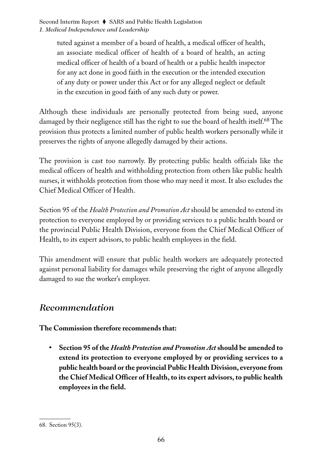> tuted against a member of a board of health, a medical officer of health, an associate medical officer of health of a board of health, an acting medical officer of health of a board of health or a public health inspector for any act done in good faith in the execution or the intended execution of any duty or power under this Act or for any alleged neglect or default in the execution in good faith of any such duty or power.

Although these individuals are personally protected from being sued, anyone damaged by their negligence still has the right to sue the board of health itself.<sup>68</sup> The provision thus protects a limited number of public health workers personally while it preserves the rights of anyone allegedly damaged by their actions.

The provision is cast too narrowly. By protecting public health officials like the medical officers of health and withholding protection from others like public health nurses, it withholds protection from those who may need it most. It also excludes the Chief Medical Officer of Health.

Section 95 of the *Health Protection and Promotion Act* should be amended to extend its protection to everyone employed by or providing services to a public health board or the provincial Public Health Division, everyone from the Chief Medical Officer of Health, to its expert advisors, to public health employees in the field.

This amendment will ensure that public health workers are adequately protected against personal liability for damages while preserving the right of anyone allegedly damaged to sue the worker's employer.

# *Recommendation*

**The Commission therefore recommends that:**

**• Section 95 of the** *Health Protection and Promotion Act***should be amended to extend its protection to everyone employed by or providing services to a public health board or the provincial Public Health Division, everyone from the Chief Medical Officer of Health, to its expert advisors, to public health employees in the field.**

<sup>68.</sup> Section 95(3).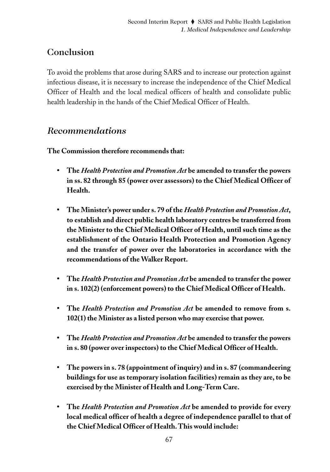# Conclusion

To avoid the problems that arose during SARS and to increase our protection against infectious disease, it is necessary to increase the independence of the Chief Medical Officer of Health and the local medical officers of health and consolidate public health leadership in the hands of the Chief Medical Officer of Health.

### *Recommendations*

**The Commission therefore recommends that:**

- **The** *Health Protection and Promotion Act* **be amended to transfer the powers in ss. 82 through 85 (power over assessors) to the Chief Medical Officer of Health.**
- **• The Minister's power under s. 79 of the** *Health Protection and Promotion Act***, to establish and direct public health laboratory centres be transferred from the Minister to the Chief Medical Officer of Health, until such time as the establishment of the Ontario Health Protection and Promotion Agency and the transfer of power over the laboratories in accordance with the recommendations of the Walker Report.**
- **• The** *Health Protection and Promotion Act* **be amended to transfer the power in s. 102(2) (enforcement powers) to the Chief Medical Officer of Health.**
- **The** *Health Protection and Promotion Act* **be amended to remove from s. 102(1) the Minister as a listed person who may exercise that power.**
- **The** *Health Protection and Promotion Act* **be amended to transfer the powers in s. 80 (power over inspectors) to the Chief Medical Officer of Health.**
- **The powers in s. 78 (appointment of inquiry) and in s. 87 (commandeering buildings for use as temporary isolation facilities) remain as they are, to be exercised by the Minister of Health and Long-Term Care.**
- **The** *Health Protection and Promotion Act* **be amended to provide for every local medical officer of health a degree of independence parallel to that of the Chief Medical Officer of Health. This would include:**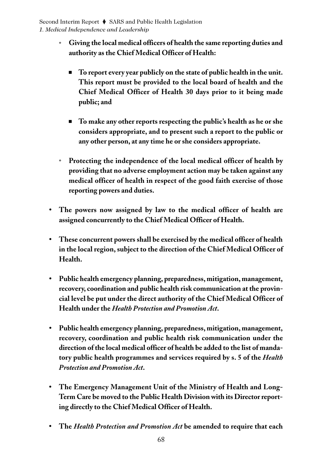- **° Giving the local medical officers of health the same reporting duties and authority as the Chief Medical Officer of Health:**
	- **To report every year publicly on the state of public health in the unit. This report must be provided to the local board of health and the Chief Medical Officer of Health 30 days prior to it being made public; and**
	- **To make any other reports respecting the public's health as he or she considers appropriate, and to present such a report to the public or any other person, at any time he or she considers appropriate.**
- **° Protecting the independence of the local medical officer of health by providing that no adverse employment action may be taken against any medical officer of health in respect of the good faith exercise of those reporting powers and duties.**
- **• The powers now assigned by law to the medical officer of health are assigned concurrently to the Chief Medical Officer of Health.**
- **These concurrent powers shall be exercised by the medical officer of health in the local region, subject to the direction of the Chief Medical Officer of Health.**
- **• Public health emergency planning, preparedness, mitigation, management, recovery, coordination and public health risk communication at the provincial level be put under the direct authority of the Chief Medical Officer of Health under the** *Health Protection and Promotion Act***.**
- **Public health emergency planning, preparedness, mitigation, management, recovery, coordination and public health risk communication under the direction of the local medical officer of health be added to the list of mandatory public health programmes and services required by s. 5 of the** *Health Protection and Promotion Act***.**
- **The Emergency Management Unit of the Ministry of Health and Long-Term Care be moved to the Public Health Division with its Director reporting directly to the Chief Medical Officer of Health.**
- **The** *Health Protection and Promotion Act* **be amended to require that each**